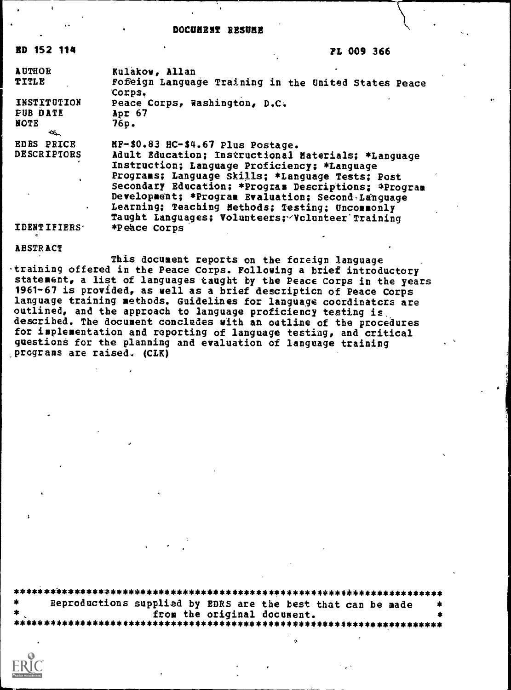#### DOCUMENT RESUME

FL 009 366

| <b>AUTHOR</b><br>TITLE                                       | Kulakow, Allan<br>Fofeign Language Training in the United States Peace<br>Corps.                                                                                                                                                                                                                                                                                                                                 |
|--------------------------------------------------------------|------------------------------------------------------------------------------------------------------------------------------------------------------------------------------------------------------------------------------------------------------------------------------------------------------------------------------------------------------------------------------------------------------------------|
| <b>INSTITUTION</b><br><b>FUB DATE</b><br><b>NOTE</b><br>سبتك | Peace Corps, Washington, D.C.<br>Apr 67<br>76p.                                                                                                                                                                                                                                                                                                                                                                  |
| <b>EDRS PRICE</b><br><b>DESCRIPTORS</b><br>$\bullet$         | HF-\$0.83 HC-\$4.67 Plus Postage.<br>Adult Education; Instructional Materials; *Language<br>Instruction; Language Proficiency; *Language<br>Programs; Language Skills; *Language Tests; Post<br>Secondary Education; *Program Descriptions; *Program<br>Development; *Program Evaluation; Second Language<br>Learning; Teaching Methods; Testing; Uncommonly<br>Taught Languages; Volunteers; Volunteer Training |
| <b>IDENTIFIERS</b>                                           | *Peace Corps                                                                                                                                                                                                                                                                                                                                                                                                     |

**ABSTRACT** 

**ED 152 114** 

This document reports on the foreign language training offered in the Peace Corps. Following a brief introductory statement, a list of languages taught by the Peace Corps in the years 1961-67 is provided, as well as a brief description of Peace Corps language training methods. Guidelines for language coordinators are outlined, and the approach to language proficiency testing is described. The document concludes with an oatline of the procedures for implementation and reporting of language testing, and critical questions for the planning and evaluation of language training programs are raised. (CLK)

| *      | Reproductions supplied by EDRS are the best that can be made<br>- 18 |  |
|--------|----------------------------------------------------------------------|--|
| $\ast$ | from the original document.                                          |  |
|        |                                                                      |  |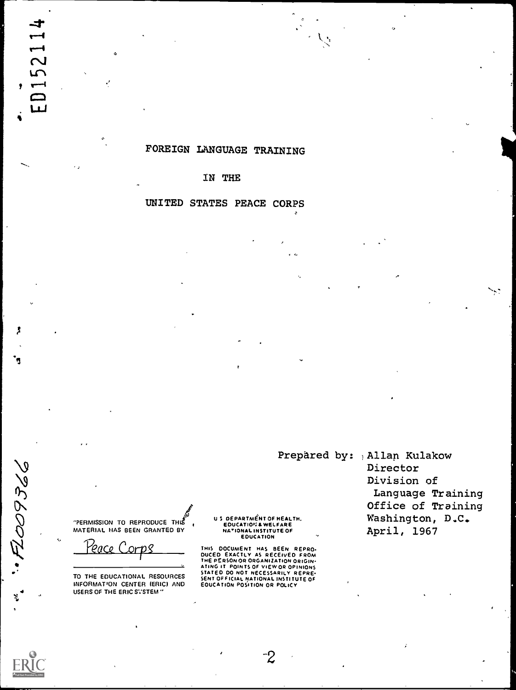## FOREIGN LANGUAGE TRAINING

#### IN THE

## UNITED STATES PEACE CORPS

**"PERMISSION TO REPRODUCE THIS** MATERIAL HAS BEEN GRANTED BY

eace Corps

TO THE EDUCATIONAL RESOURCES INFORMATION CENTER (ERIC) AND USERS OF THE ERIC SVSTEM"

US DEPARTMENT OF HEALTH. **EDUCATION & WELFARE**<br>
NATIONAL INSTITUTE OF<br>
EDUCATION

THIS DOCUMENT HAS BEEN REPRO-<br>DUCED EXACTLY AS RECEIVED FROM<br>THE PERSONOR ORGANIZATION ORIGIN-<br>ATING IT POINTS OF VIEW OR OPINIONS STATED DO NOT NECESSARILY REPRESSARILY REPRESSARILY REPRESSARILY REPRESSARILY REPRESSARILY REPRESSARILY REPRESSARILY

Prepared by: Allan Kulakow Director Division of Language Training Office of Training Washington, D.C. April, 1967

N.

"FL009366

 $\mathbf{x}$ 

ᆉ

 $\overline{\phantom{0}}$  $\overline{\mathsf{C}}$ 5

 $\equiv$ لبليا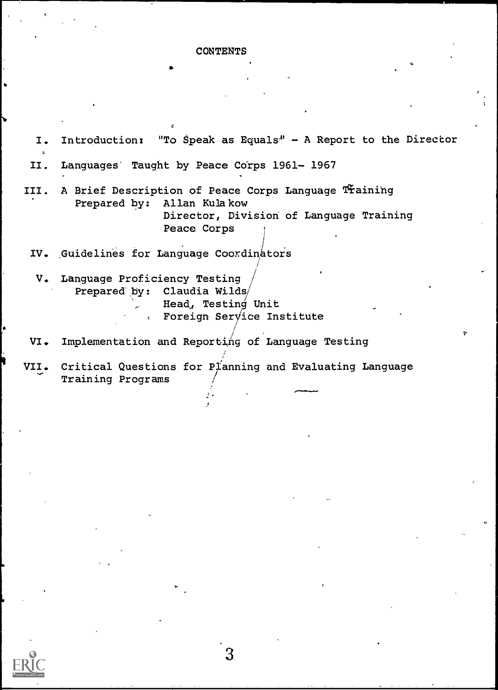#### **CONTENTS**

I. Introduction: "To Speak as Equals" - A Report to the Director II. Languages' Taught by Peace Corps 1961-1967 III. A Brief Description of Peace Corps Language Training Prepared by: Allan Kulakow Director, Division of Language Training Peace Corps IV. Guidelines for Language Coordinators V. Language Proficiency Testing Prepared' by: Claudia Wilds Head, Testing Unit Foreign Service Institute VI. Implementation and Reporting of Language Testing VII. Critical Questions for Planning and Evaluating Language Training Programs

.....1101. 0.0.0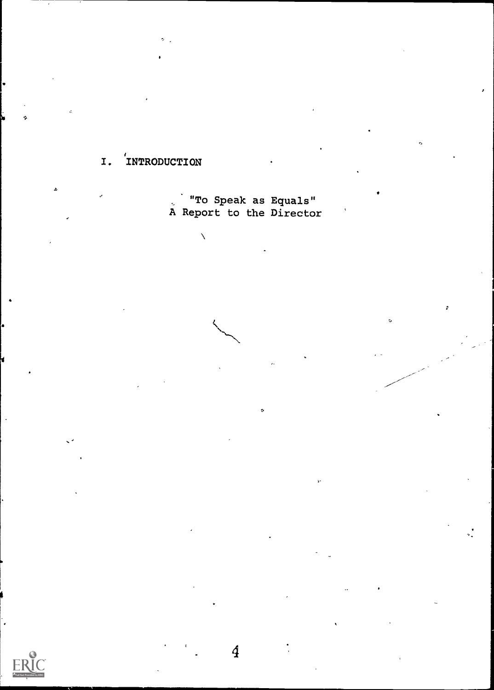#### INTRODUCTION  $I.$

To Speak as Equals"<br>A Report to the Director

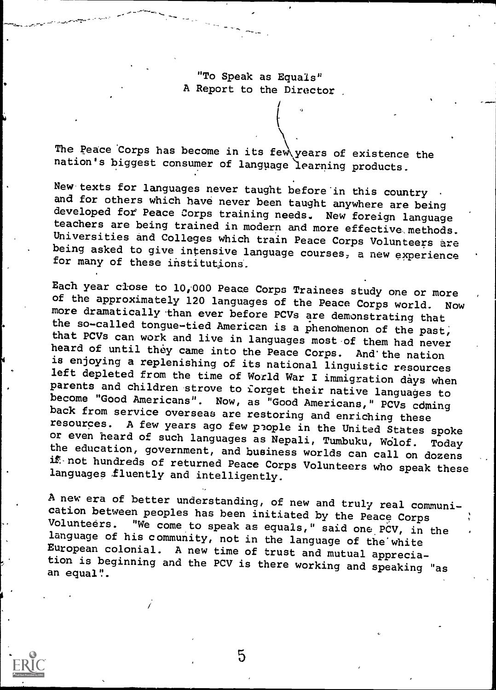"To Speak as Equals" A Report to the Director

The Peace Corps has become in its few years of existence the nation's biggest consumer of language learning products.

New texts for languages never taught before in this country .<br>and for others which have never been taught anywhere are being<br>developed for Peace Corps training needs. New foreign language<br>teachers are being trained in mode Universities and Colleges which train Peace Corps Volunteers are<br>being asked to give intensive language courses, a new experience<br>for many of these institutions.

Each year close to 10,000 Peace Corps Trainees study one or more<br>of the approximately 120 languages of the Peace Corps world. Now The example of the Peace Corps world. Now<br>more dramatically than ever before PCVs are demonstrating that<br>the so-called tongue-tied American is a phenomenon of the past,<br>that PCVs can work and live in languages most of them or even heard of such languages as Nepali, Tumbuku, Wolof. Today<br>the education, government, and business worlds can call on dozens<br>if not hundreds of returned Peace Corps Volunteers who speak these<br>languages fluently and i

A new era of better understanding, of new and truly real communication between peoples has been initiated by the Peace Corps<br>Volunteers. "We come to speak as equals," said one PCV, in the language of his community, not in the language of the white<br>European colonial. A new time of trust and mutual apprecia-<br>tion is beginning and the PCV is there working and speaking "as an equal".

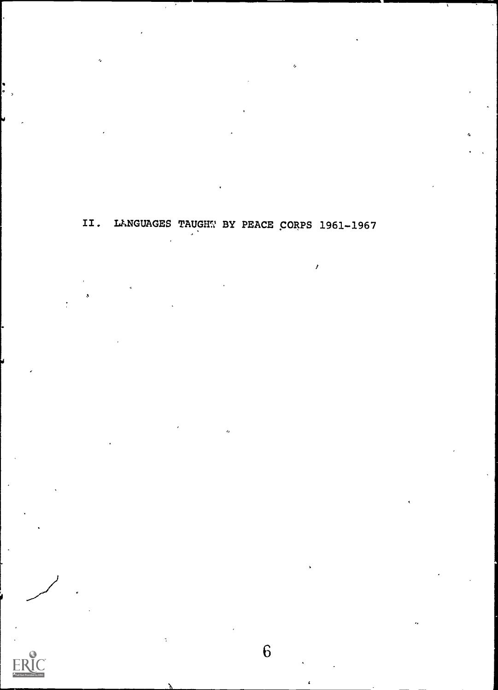II. LANGUAGES TAUGHT BY PEACE CORPS 1961-1967

/

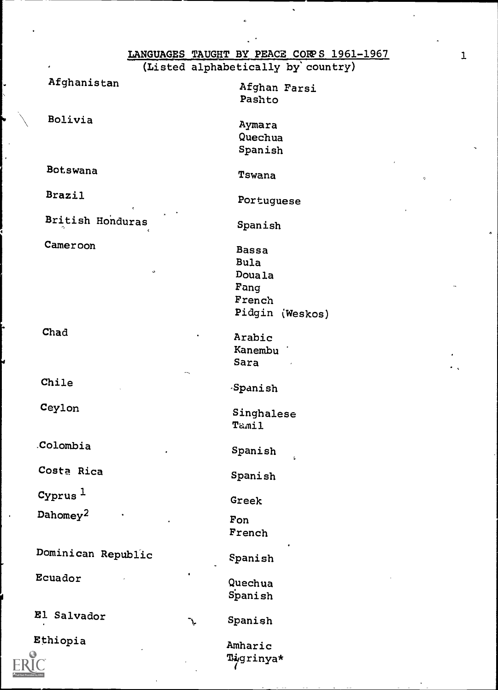|                      |                 | LANGUAGES TAUGHT BY PEACE CORPS 1961-1967 |
|----------------------|-----------------|-------------------------------------------|
|                      |                 | (Listed alphabetically by country)        |
| Afghanistan          |                 | Afghan Farsi                              |
|                      |                 | Pashto                                    |
|                      |                 |                                           |
| Bolivia              |                 | Aymara                                    |
|                      |                 | Quechua                                   |
|                      |                 | Spanish                                   |
| Bot.swana            |                 |                                           |
|                      |                 | Tswana<br>$\sigma$                        |
| <b>Brazil</b>        |                 |                                           |
|                      |                 | Portuguese                                |
| British Honduras     |                 | Spanish                                   |
|                      |                 |                                           |
| Cameroon             |                 | <b>Bassa</b>                              |
|                      |                 | <b>Bula</b>                               |
|                      | $\mathbf \circ$ | Douala                                    |
|                      |                 | Fang                                      |
|                      |                 | French                                    |
|                      |                 | Pidgin (Weskos)                           |
| Chad                 |                 |                                           |
|                      |                 | Arabic<br>Kanembu                         |
|                      |                 | Sara                                      |
|                      |                 |                                           |
| Chile                |                 | Spanish                                   |
|                      |                 |                                           |
| Ceylon               |                 | Singhalese                                |
|                      |                 | Tamil                                     |
| Colombia             |                 |                                           |
|                      |                 | Spanish<br>$\mathcal{L}$                  |
| Costa Rica           |                 |                                           |
|                      |                 | Spanish                                   |
| $Cyrus$ <sup>1</sup> |                 | Greek                                     |
| Dahomey <sup>2</sup> |                 |                                           |
|                      |                 | Fon                                       |
|                      |                 | French                                    |
| Dominican Republic   |                 |                                           |
|                      |                 | Spanish                                   |
| Ecuador              |                 | Quechua                                   |
|                      |                 | Spanish                                   |
|                      |                 |                                           |

El Salvador

Ethiopia



Amharic Tigrinya\*

Spanish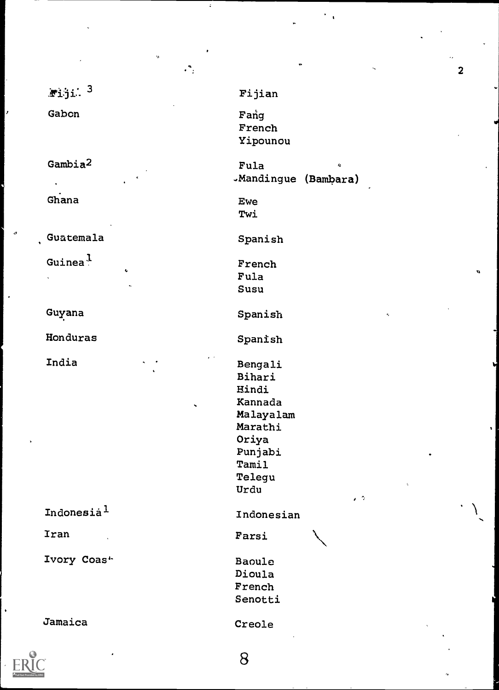|                         | . .                                                                                                                                        |
|-------------------------|--------------------------------------------------------------------------------------------------------------------------------------------|
| $x$ iji. 3              | Fijian                                                                                                                                     |
| Gabon                   | Fang<br>French<br>Yipounou                                                                                                                 |
| Gambia <sup>2</sup>     | Fula<br>Ň,<br>-Mandingue (Bambara)                                                                                                         |
| Ghana                   | <b>Ewe</b><br>Twi                                                                                                                          |
| Guatemala               | Spanish                                                                                                                                    |
| Guinea $^1$<br>ł,<br>ů. | French<br>Fula<br>Susu                                                                                                                     |
| Guyana                  | Spanish<br>۳,                                                                                                                              |
| Honduras                | Spanish                                                                                                                                    |
| India                   | Bengali<br>Bihari<br>Hindi<br>Kannada<br>Malayalam<br>Marathi<br>Oriya<br>Punjabi<br>Tamil<br>Telegu<br>$\zeta$<br>Urdu<br>$\cdot$ $\circ$ |
| Indonesia <sup>l</sup>  | Indonesian                                                                                                                                 |
| Iran                    | Farsi                                                                                                                                      |
| Ivory Coas <sup>+</sup> | Baoule<br>Dioula<br>French<br>Senotti                                                                                                      |
| Jamaica                 | Creole                                                                                                                                     |

ż

 $\mathbf{v}$ 



2

8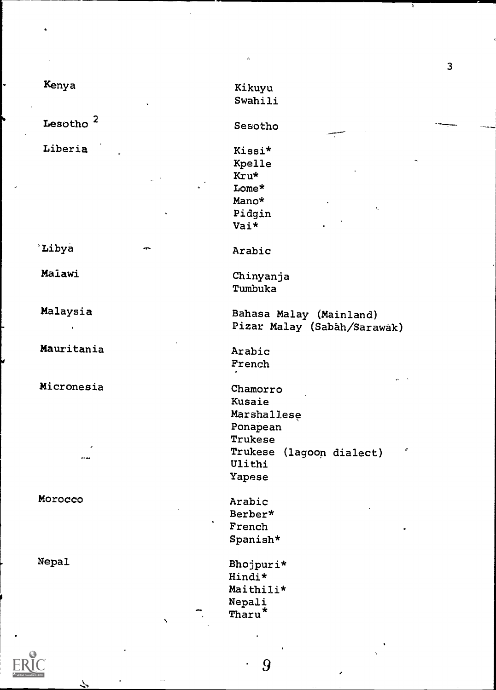| Kenya                |     | Kikuyu                      |
|----------------------|-----|-----------------------------|
|                      |     | Swahili                     |
|                      |     |                             |
| Lesotho <sup>2</sup> |     | Sesotho                     |
| Liberia              |     | Kissi*                      |
|                      |     | Kpelle                      |
|                      |     | Kru*                        |
|                      |     |                             |
|                      |     | Lome*                       |
|                      |     | Mano*<br>K.                 |
|                      |     | Pidgin                      |
|                      |     | Vai*                        |
| Libya                | -qn | Arabic                      |
|                      |     |                             |
| Malawi               |     | Chinyanja                   |
|                      |     | Tumbuka                     |
| Malaysia             |     | Bahasa Malay (Mainland)     |
|                      |     | Pizar Malay (Sabâh/Sarawak) |
|                      |     |                             |
| Mauritania           |     | Arabic                      |
|                      |     | French                      |
| Micronesia           |     | Chamorro                    |
|                      |     | Kusaie                      |
|                      |     | Marshallese                 |
|                      |     | Ponapean                    |
|                      |     | Trukese                     |
|                      |     | J                           |
| $\theta$ < and       |     | Trukese (lagoon dialect)    |
|                      |     | Ulithi                      |
|                      |     | Yapese                      |
| Morocco              |     | Arabic                      |
|                      |     | Berber*                     |
|                      |     | French                      |
|                      |     | Spanish*                    |
| Nepal                |     |                             |
|                      |     | Bhojpuri*<br>Hindi*         |
|                      |     |                             |
|                      |     | Maithili*                   |
|                      |     | Nepali                      |
|                      |     | Tharu*                      |

l.

 $\overline{3}$ 

ERIC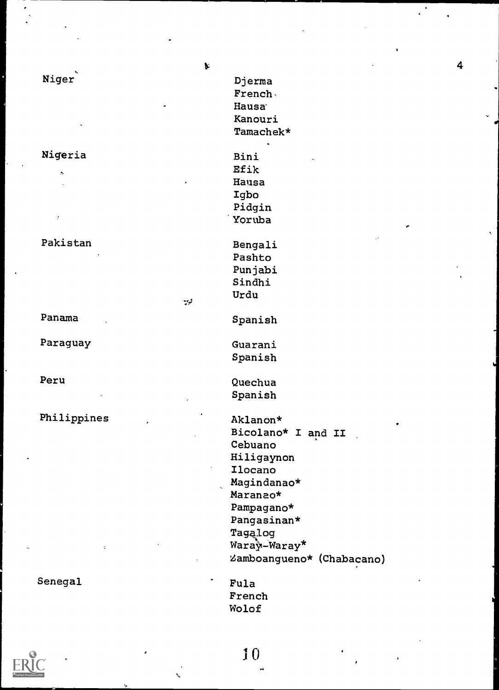|             | $\blacktriangleright$     |
|-------------|---------------------------|
| Niger       | Djerma                    |
|             | French                    |
|             | Hausa <sup>®</sup>        |
|             | Kanouri                   |
|             | Tamachek*                 |
| Nigeria     | Bini                      |
|             | Efik                      |
| A           | Hausa                     |
|             | Igbo                      |
|             | Pidgin                    |
| $\zeta$     | Yoruba                    |
| Pakistan    | Bengali                   |
|             | Pashto                    |
|             | Punjabi                   |
|             | Sindhi                    |
|             | Urdu                      |
| لرب         |                           |
| Panama      | Spanish                   |
| Paraguay    | Guarani                   |
|             | Spanish                   |
| Peru        | Quechua                   |
|             | Spanish                   |
| Philippines | Aklanon*                  |
|             | Bicolano* I and II        |
|             | Cebuano                   |
|             | Hiligaynon                |
|             | Ilocano                   |
|             | Magindanao*               |
|             | Maranao*                  |
|             | Pampagano*                |
|             | Pangasinan*               |
|             | Tagalog                   |
|             | Waray-Waray*              |
|             | Zamboangueno* (Chabacano) |
| Senegal     | Fula                      |
|             | French                    |
|             | Wolof                     |
|             |                           |
|             |                           |

 $10<sup>1</sup>$ 

 $\overline{\mathbf{4}}$ 

 $\epsilon$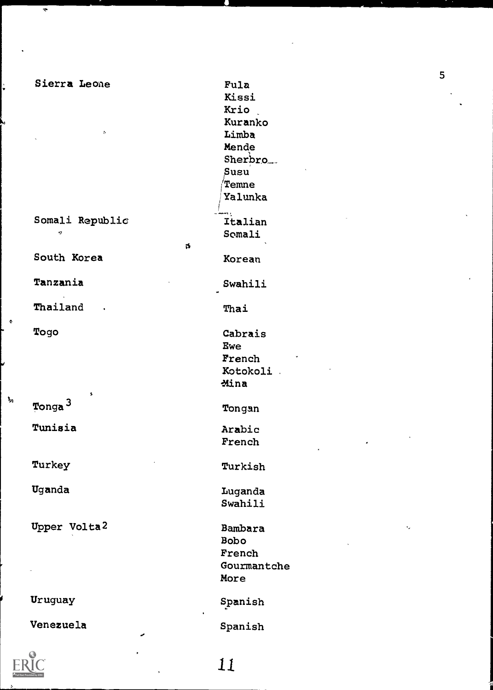| Sierra Leone<br>s       | Fula<br>Kissi<br>Krio<br>Kuranko<br>Limba<br>Mende<br>Sherbro <sub>--</sub><br>Sugu<br><b>Temne</b><br>Yalunka |
|-------------------------|----------------------------------------------------------------------------------------------------------------|
| Somali Republic<br>×,   | Italian<br>Somali                                                                                              |
| ts.<br>South Korea      | Korean                                                                                                         |
| Tanzania                | Swahili                                                                                                        |
| Thailand                | Thai                                                                                                           |
| Togo                    | Cabrais<br>Ewe<br>French<br>Kotokoli .<br>Mina                                                                 |
| 5<br>Tonga <sup>3</sup> | Tongan                                                                                                         |
| Tunisia                 | Arabic<br>French                                                                                               |
| Turkey                  | Turkish                                                                                                        |
| Uganda                  | Luganda<br>Swahili                                                                                             |
| Upper Volta2            | Bambara<br><b>Bobo</b><br>French<br>Gourmantche<br>More                                                        |
| Uruguay                 | Spanish                                                                                                        |

 $\bullet$ 

 $\mathbf{I}_n$ 

÷

as\*

Krio Kuranko Limba Mende Sherbro\_\_ Susu  $\rm \sqrt{T}$ emne /Yalunka Italian Somali Korean Swahili Cabrais Ewe French Kotokoli ?Mina Tongan Arabic French Turkish Luganda Swahili Bambara Bobo French Gourmantche More Spanish Venezuela Spanish Fula<br>
Kissi<br>
Kissi<br>
Kiro<br>
Kuranko<br>
Mende<br>
Mende<br>
Sherbro<br>
Sherbro<br>
Temme<br>
Talian<br>
Talian<br>
Somali<br>
Xorean<br>
Swahili<br>
Thai<br>
Cabrais<br>
Ewe<br>
Swahili<br>
Thai<br>
Cabrais<br>
Ewe<br>
Notokoli<br>
Mina<br>
Tongan<br>
Arabic<br>
French<br>
Turkish<br>
Luganda<br>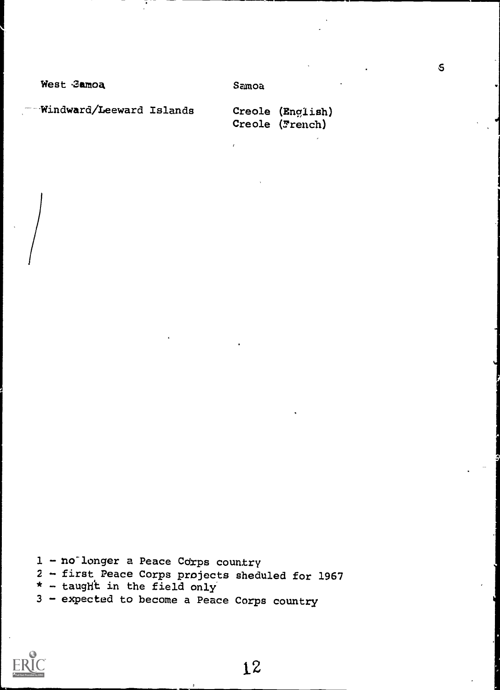West 3amoa

Samoa

Windward/Leeward Islands

Creole (English) Creole (French)

 $2$  - first Peace Corps projects sheduled for 1967<br>\* - taught in the field only

3 - expected to become a Peace Corps country

 $\mathsf{S}$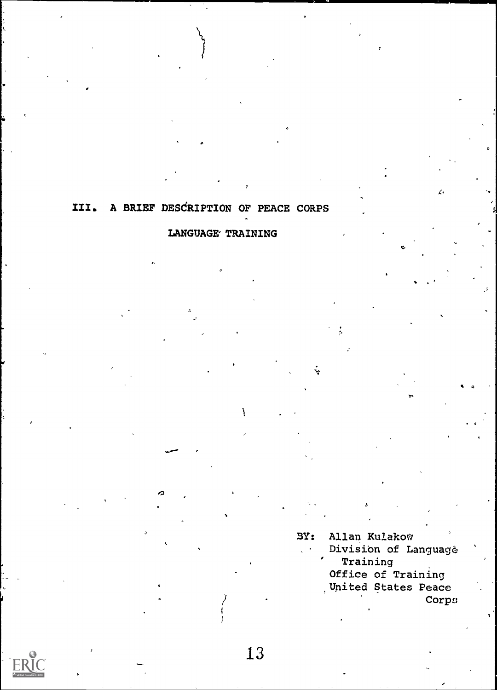## III. A BRIEF DESCRIPTION OF PEACE CORPS

## LANGUAGE TRAINING

Allan Kulakow  $SY:$ Division of Language Training Office of Training United States Peace Corps

 $\mathcal{L}_{\mathbf{A}}$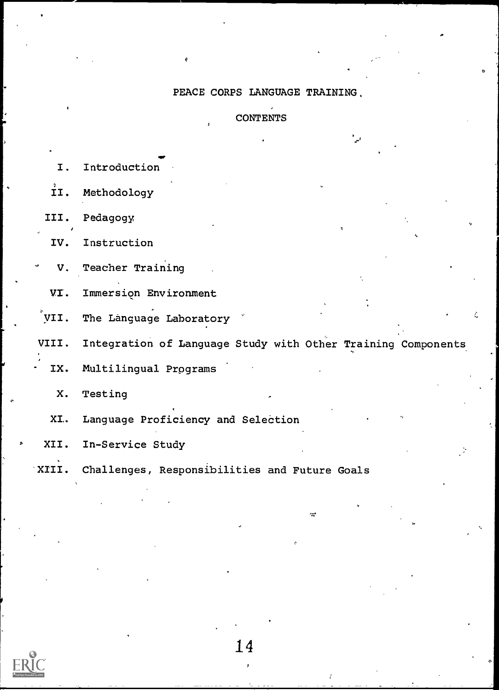## PEACE CORPS LANGUAGE TRAINING,

## **CONTENTS**

×

| Ι.   | Introduction                                                       |
|------|--------------------------------------------------------------------|
| II.  | Methodology                                                        |
| III. | Pedagogy                                                           |
| IV.  | Instruction                                                        |
| ٠    | V. Teacher Training                                                |
|      | VI. Immersion Environment                                          |
|      | VII. The Language Laboratory                                       |
|      | VIII. Integration of Language Study with Other Training Components |
|      | IX. Multilingual Programs                                          |
| X.   | Testing                                                            |
|      | XI. Language Proficiency and Selection                             |
| XII. | In-Service Study                                                   |
|      |                                                                    |

XIII. Challenges, Responsibilities and Future Goals



14

 $2.5$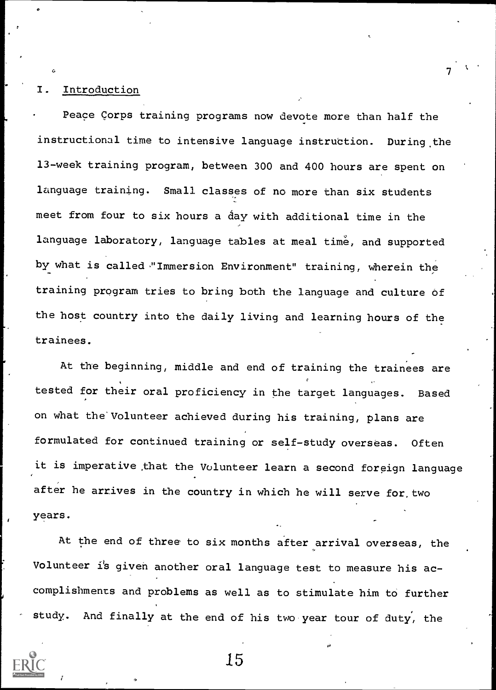#### **Introduction**

Peace Corps training programs now devote more than half the instructional time to intensive language instruction. During the 13-week training program, between 300 and 400 hours are spent on language training. Small classes of no more than six students meet from four to six hours a day with additional time in the language laboratory, language tables at meal time, and supported by what is called -"Immersion Environment" training, wherein the training program tries to bring both the language and culture of the host country into the daily living and learning hours of the trainees.

 $\mathcal{T}$  and  $\mathcal{T}$ 

At the beginning, middle and end of training the trainees are tested for their oral proficiency in the target languages. Based on what the'Volunteer achieved during his training, plans are formulated for continued training or self-study overseas. Often it is imperative that the Volunteer learn a second foreign language after he arrives in the country in which he will serve for, two years.

At the end of three to six months after arrival overseas, the Volunteer is given another oral language test to measure his accomplishments and problems as well as to stimulate him to further study. And finally at the end of his two year tour of duty, the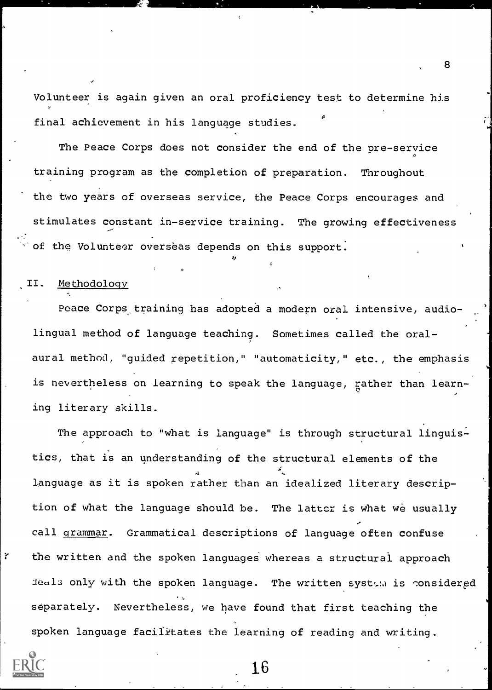Volunteer is again given an oral proficiency test to determine his final achievement in his language studies.

The Peace Corps does not consider the end of the pre-service training program as the completion of preparation. Throughout the two years of overseas service, the Peace Corps encourages and stimulates constant in-service training. The growing effectiveness of the Volunteer overseas depends on this support.

#### II. Methodology

Peace Corps training has adopted a modern oral intensive, audiolingual method of language teaching. Sometimes called the oralaural method, "guided repetition," "automaticity," etc., the emphasis is nevertheless on learning to speak the language, rather than learn- $\mathcal{F}$  , and the set of  $\mathcal{F}$ ing literary skills.

The approach to "what is language" is through structural linguistics, that is an understanding of the structural elements of the  $\mathbf{A}$ language as it is spoken rather than an idealized literary description of what the language should be. The latter is what we usually call grammar. Grammatical descriptions of language often confuse the written and the spoken languages whereas a structural approach deals only with the spoken language. The written system is considered separately. Nevertheless, we have found that first teaching the spoken language facilitates the learning of reading and writing.

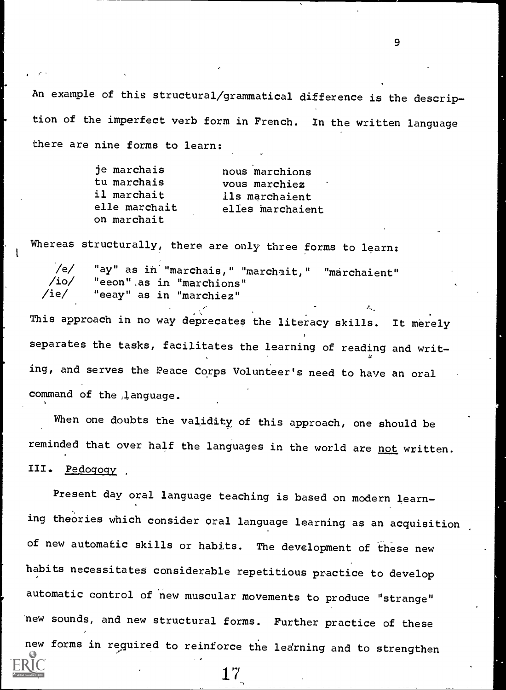An example of this structural/grammatical difference is the description of the imperfect verb form in French. In the written language there are nine forms to learn:

9

| je marchais   | nous marchions   |
|---------------|------------------|
| tu marchais   | vous marchiez    |
| il marchait   | ils marchaient   |
| elle marchait | elles marchaient |
| on marchait   |                  |

Whereas structurally, there are only three forms to learn:

/e/ "ay" as in "marchais," "marchait," "marchaient"<br>/io/ "eeon" as in "marchions" /io/ "eeon",as in "marchions" "eeay" as in "marchiez"

This approach in no way deprecates the literacy skills. It merely separates the tasks, facilitates the learning of reading and writing, and serves the Peace Corps Volunteer's need to have an oral command of the ;language.

When one doubts the validity of this approach, one should be reminded that over half the languages in the world are not written. III. Pedogogy

Present day oral language teaching is based on modern learning theories which consider oral language learning as an acquisition of new automatic skills or habits. The development of these new habits necessitates considerable repetitious practice to develop automatic control of new muscular movements to produce "strange" new sounds, and new structural forms. Further practice of these new forms in required to reinforce the ledrning and to strengthen

17,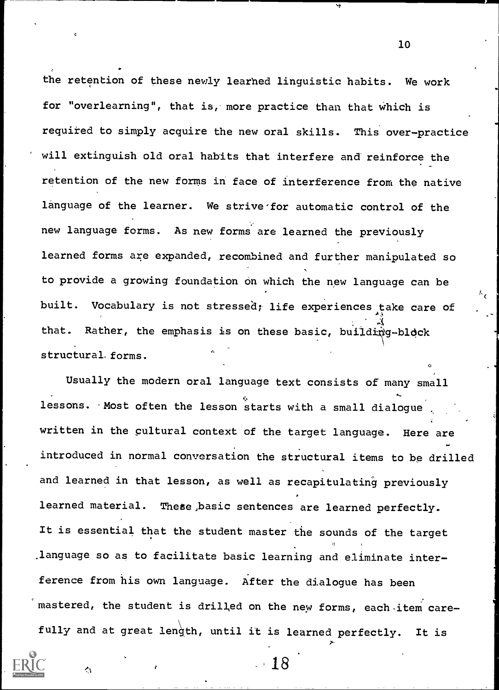the retention of these newly learhed linguistic habits. We work for "overlearning", that is, more practice than that which is required to simply acquire the new oral skills. This over-practice will extinguish old oral habits that interfere and reinforce the retention of the new forms in face of interference from the native language of the learner. We strive for automatic control of the new language forms. As new forms are learned the previously learned forms are expanded, recombined and further manipulated so to provide a growing foundation on which the new language can be built. Vocabulary is not stressed; life experiences take care of that. Rather, the emphasis is on these basic, building-block structural, forms.

Usually the modern oral language text consists of many small lessons. Most often the lesson starts with a small dialogue written in the cultural context of the target language. Here are introduced in normal conversation the structural items to be drilled and learned in that lesson, as well as recapitulating previously learned material. These,basic sentences are learned perfectly. It is essential that the student master the sounds of the target .language so as to facilitate basic learning and eliminate interference from his own language. After the dialogue has been mastered, the student is drilled on the new forms, each item carefully and at great length, until it is learned perfectly. It is

18

A

10

o a contra de la contra de la contra de la contra de la contra de la contra de la contra de la contra de la co<br>O de la contra de la contra de la contra de la contra de la contra de la contra de la contra de la contra de l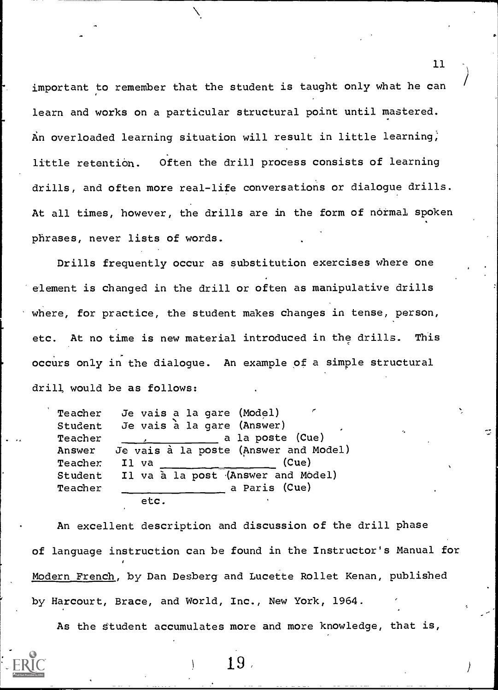important to remember that the student is taught only what he can learn and works on a particular structural point until mastered. An overloaded learning situation will result in little learning; little retention. Often the drill process consists of learning drills, and often more real-life conversations or dialogue drills. At all times, however, the drills are in the form of normal spoken phrases, never lists of words.

Drills frequently occur as substitution exercises where one element is changed in the drill or often as manipulative drills where, for practice, the student makes changes in tense, person, etc. At no time is new material introduced in the drills. This occurs only in the dialogue. An example of a simple structural drill would be as follows:

Teacher Je vais a la gare (Model) Student Je vais à la gare (Answer) Teacher , a la poste (Cue) Answer Je vais à la poste (Answer and Model) Teacher Il va (Cue) Student Il va a la post (Answer and Model) Teacher a Paris (Cue) etc.

An excellent description and discussion of the drill phase of language instruction can be found in the Instructor's Manual for Modern French, by Dan Desberg and Lucette Rollet Kenan, published by Harcourt, Brace, and World, Inc., New York, 1964.

As the Student accumulates more and more knowledge, that is,

11

 $\vec{z}$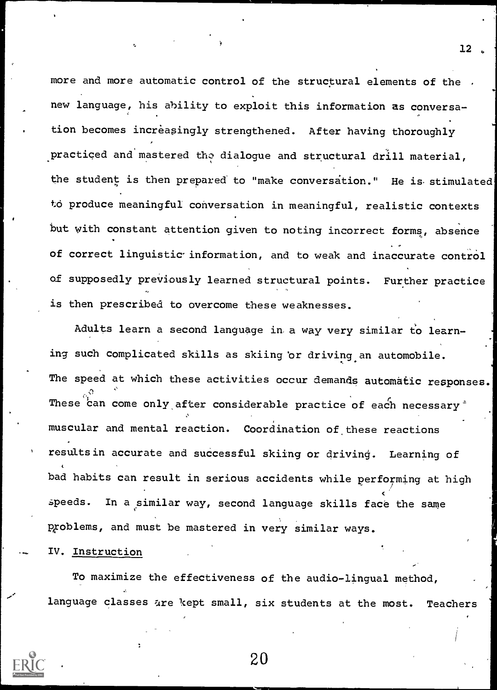more and more automatic control of the structural elements of the . new language, his ability to exploit this information as conversation becomes increasingly strengthened. After having thoroughly practiced and mastered the dialogue and structural drill material, the student is then prepared to "make conversation." He is stimulated to produce meaningful conversation in meaningful, realistic contexts but with constant attention given to noting incorrect forms, absence of correct linguistic information, and to weak and inaccurate control of supposedly previously learned structural points. Further practice is then prescribed to overcome these weaknesses.

12

Adults learn a second language in a way very similar to learning such complicated skills as skiing or driving an automobile. The speed at which these activities occur demands automatic responses. These can come only after considerable practice of each necessary <sup>\*</sup> muscular and mental reaction. Coordination of these reactions results in accurate and successful skiing or driving. Learning of bad habits can result in serious accidents while performing at high speeds. In a similar way, second language skills face the same problems, and must be mastered in very similar ways.

IV. Instruction

To maximize the effectiveness of the audio-lingual method, language classes are kept small, six students at the most. Teachers

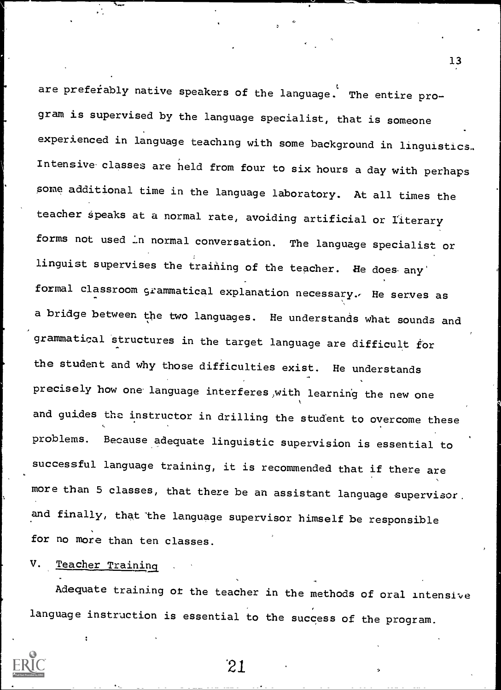are preferably native speakers of the language. The entire program is supervised by the language specialist, that is someone experienced in language teaching with some background in linguistics. Intensive-classes are held from four to six hours a day with perhaps some additional time in the language laboratory. At all times the teacher speaks at a normal rate, avoiding artificial or literary forms not used in normal conversation. The language specialist or linguist supervises the training of the teacher. He does any formal classroom grammatical explanation necessary. He serves as a bridge between the two languages. He understands what sounds and grammatical structures in the target language are difficult for the student and why those difficulties exist. He understands precisely how one language interferes,with learning the new one and guides the instructor in drilling the student to overcome these problems. Because adequate linguistic supervision is essential to successful language training, it is recommended that if there are more than 5 classes, that there be an assistant language supervisor. and finally, that the language supervisor himself be responsible for no more than ten classes.

## V. Teacher Training

Adequate training of the teacher in the methods of oral intensive language instruction is essential to the success of the program.

`21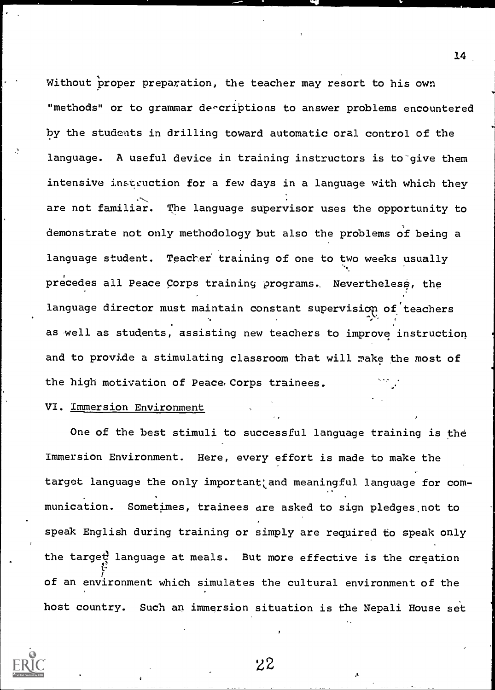Without proper preparation, the teacher may resort to his own "methods" or to grammar deecriptions to answer problems encountered by the students in drilling toward automatic oral control of the language. A useful device in training instructors is to'give them intensive instruction for a few days in a language with which they are not familiar. The language supervisor uses the opportunity to demonstrate not only methodology but also the problems of being a language student. Teacher training of one to two weeks usually precedes all Peace Corps training programs. Nevertheless, the language director must maintain constant supervision of teachers as well as students, assisting new teachers to improve instruction and to provide a stimulating classroom that will make the most of the high motivation of Peace. Corps trainees.

#### VI. Immersion Environment

One of the best stimuli to successful language training is the Immersion Environment. Here, every effort is made to make the target language the only important and meaningful language for communication. Sometimes, trainees are asked to sign pledges not to speak English during training or simply are required to speak only the target language at meals. But more effective is the creation of an environment which simulates the cultural environment of the host country. Such an immersion situation is the Nepali House set



22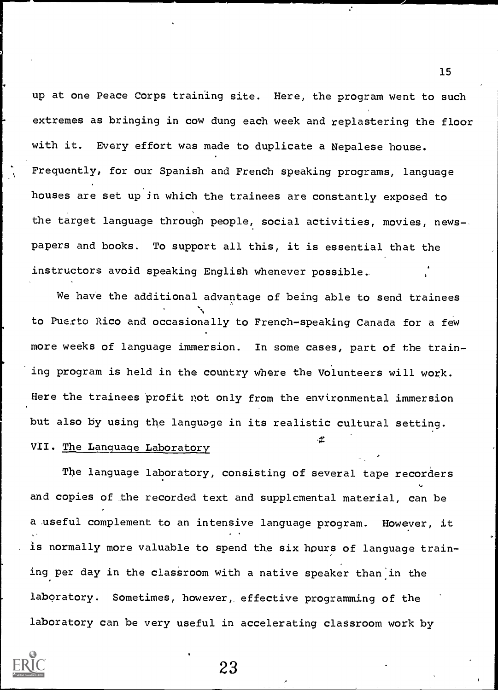up at one Peace Corps training site. Here, the program went to such extremes as bringing in cow dung each week and replastering the floor with it. Every effort was made to duplicate a Nepalese house. Frequently, for our Spanish and French speaking programs, language houses are set up in which the trainees are constantly exposed to the target language through people, social activities, movies, newspapers and books. To support all this, it is essential that the instructors avoid speaking English whenever possible..

We have the additional advantage of being able to send trainees to Puerto Rico and occasionally to French-speaking Canada for a few more weeks of language immersion. In some cases, part of the training program is held in the country where the Volunteers will work. Here the trainees profit not only from the environmental immersion but also by using the language in its realistic cultural setting.

## VII. The Language Laboratory

The language laboratory, consisting of several tape recorders and copies of the recorded text and supplemental material, can be a useful complement to an intensive language program. However, it is normally more valuable to spend the six hours of language training per day in the classroom with a native speaker than in the laboratory. Sometimes, however, effective programming of the laboratory can be very useful in accelerating classroom work by

15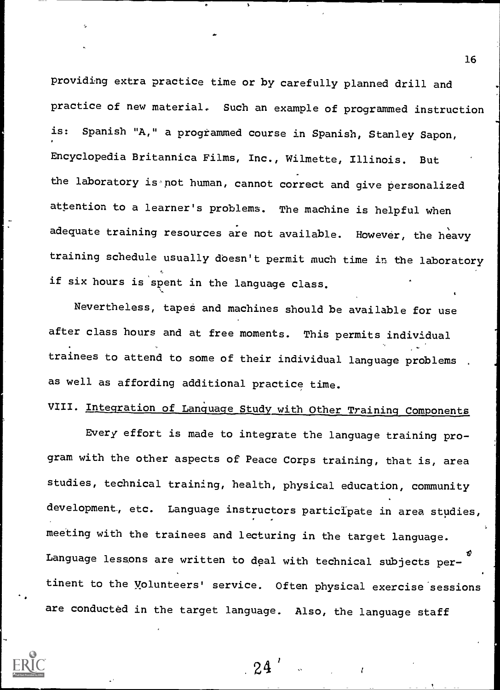providing extra practice time or by carefully planned drill and practice of new material. Such an example of programmed instruction Spanish "A," a programmed course in Spanish, Stanley Sapon, Encyclopedia Britannica Films, Inc., Wilmette, Illinois. But the laboratory is not human, cannot correct and give personalized attention to a learner's problems. The machine is helpful when adequate training resources are not available. However, the heavy training schedule usually doesn't permit much time in, the laboratory if six hours is spent in the language class.

Nevertheless, tapes and machines should be available for use after class hours and at free moments. This permits individual trainees to attend to some of their individual language problems as well as affording additional practice time.

# VIII. Integration of Language Study with Other Training Components

Every effort is made to integrate the language training program with the other aspects of Peace Corps training, that is, area studies, technical training, health, physical education, community development, etc. Language instructors participate in area studies, meeting with the trainees and lecturing in the target language. Language lessons are written to deal with technical subjects pertinent to the Volunteers' service. Often physical exercise'sessions are conducted in the target language. Also, the language staff

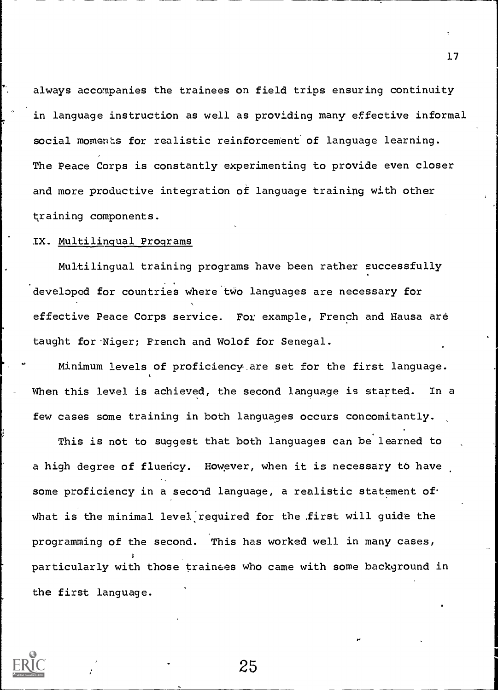always accompanies the trainees on field trips ensuring continuity in language instruction as well as providing many effective informal social moments for realistic reinforcement of language learning. The Peace Corps is constantly experimenting to provide even closer and more productive integration of language training with other training components.

## IX. Multilingual Programs

Multilingual training programs have been rather successfully developed for countries where two languages are necessary for effective Peace Corps service. For example, French and Hausa are taught for-Niger; French and Wolof for Senegal.

Minimum levels of proficiency are set for the first language. When this level is achieved, the second language is started. In a few cases some training in both languages occurs concomitantly.

This is not to suggest that both languages can be learned to a high degree of fluency. However, when it is necessary to have some proficiency in a second language, a realistic statement of what is the minimal level required for the first will guide the programming of the second. This has worked well in many cases, particularly with those trainees who came with some background in the first language.

25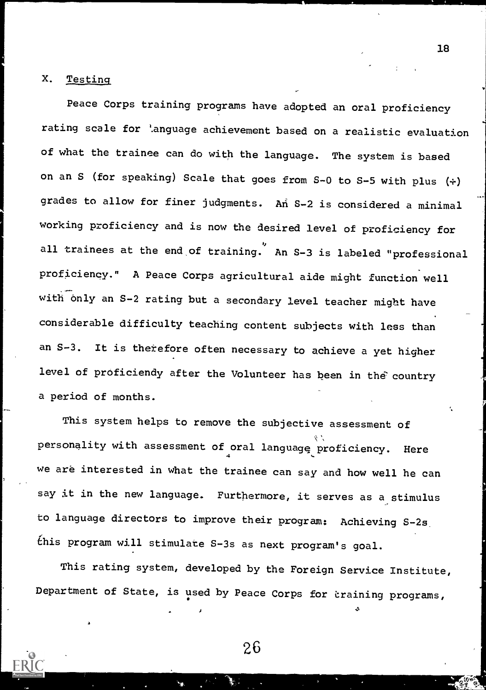#### X. Testing

Peace Corps training programs have adopted an oral proficiency rating scale for '.anguage achievement based on a realistic evaluation of what the trainee can do with the language. The system is based on an S (for speaking) Scale that goes from  $S-0$  to  $S-5$  with plus  $(+)$ grades to allow for finer judgments. An S-2 is considered a minimal working proficiency and is now the desired level of proficiency for all trainees at the end of training. An S-3 is labeled "professional proficiency." A Peace Corps agricultural aide might function well with only an S-2 rating but a secondary level teacher might have  $\qquad \qquad \bullet$ considerable difficulty teaching content subjects with less than an S-3. It is therefore often necessary to achieve a yet higher level of proficiendy after the Volunteer has been in the country a period of months.

This system helps to remove the subjective assessment of personality with assessment of oral languagg proficiency. Here we are interested in what the trainee can say and how well he can say it in the new language. Furthermore, it serves as a stimulus to language directors to improve their program: Achieving S-2s  $t$ his program will stimulate S-3s as next program's goal.

This rating system, developed by the Foreign Service Institute, Department of State, is used by Peace Corps for training programs,

26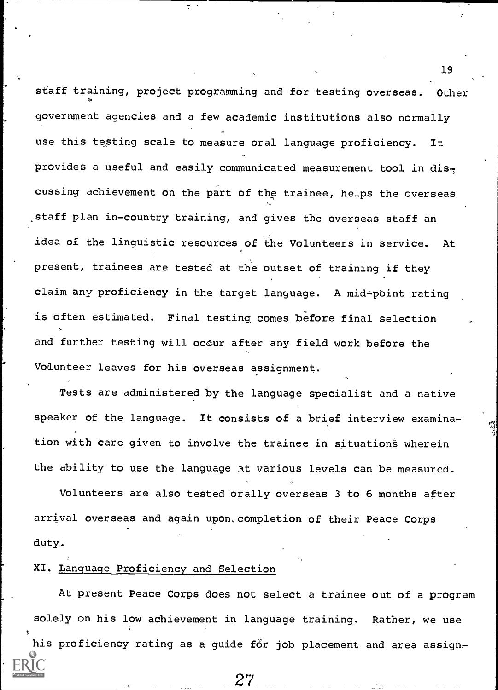staff training, project programming and for testing overseas. Other government agencies and a few academic institutions also normally use this testing scale to measure oral language proficiency. It provides a useful and easily communicated measurement tool in dis $\tau$ cussing achievement on the part of the trainee, helps the overseas staff plan in-country training, and gives the overseas staff an idea of the linguistic resources of the Volunteers in service. At present, trainees are tested at the outset of training if they claim anv proficiency in the target language. A mid-point rating is often estimated. Final testing, comes before final selection and further testing will ocour after any field work before the Volunteer leaves for his overseas assignment.

Ą

19

Tests are administered by the language specialist and a native speaker of the language. It consists of a brief interview examination with care given to involve the trainee in situations wherein the ability to use the language At various levels can be measured.

Volunteers are also tested orally overseas 3 to 6 months after arrival overseas and again upon, completion of their Peace Corps duty.

#### XI. Language Proficiency and Selection

At present Peace Corps does not select a trainee out of a program solely on his low achievement in language training. Rather, we use

his proficiency rating as a guide for job placement and area assign-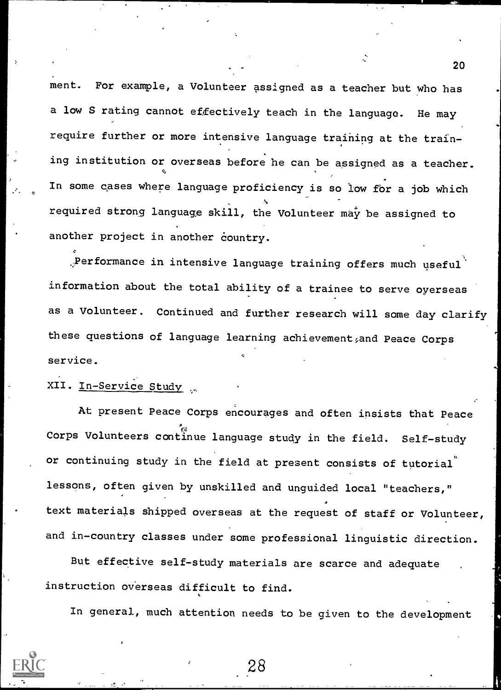ment. For example, a Volunteer assigned as a teacher but who has a low S rating cannot effectively teach in the language. He may require further or more intensive language training at the training institution or overseas before he can be assigned as a teacher. In some cases where language proficiency is so low for a job which required strong language skill, the Volunteer may be assigned to another project in another country.

 $\mathbb{R}$ Performance in intensive language training offers much useful information about the total ability of a trainee to serve oyerseas as a Volunteer. Continued and further research will some day clarify these questions of language learning achievement, and Peace Corps service.

## XII. In-Service Study

At present Peace Corps encourages and often insists that Peace Corps Volunteers continue language study in the field. Self-study or continuing study in the field at present consists of tutorial lessons, often given by unskilled and unguided local "teachers," text materials shipped overseas at the request of staff or Volunteer, and in-country classes under some professional linguistic direction.

But effective self-study materials are scarce and adequate instruction overseas difficult to find.

In general, much attention needs to be given to the development

28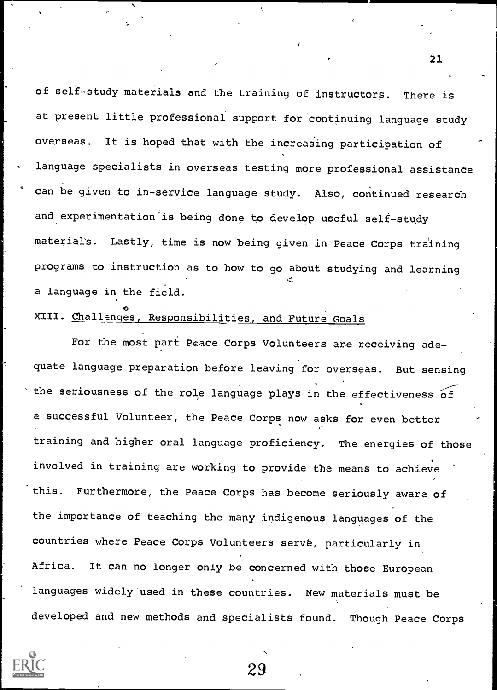of self-study materials and the training of instructors. There is at present little professional support for continuing language study overseas. It is hoped that with the increasing participation of language specialists in overseas testing more professional assistance can be given to in-service language study. Also, continued research and experimentation is being done to develop useful self-study materials. Lastly, time is now being given in Peace Corps training programs to instruction as to how to go about studying and learning a language in the field.

#### $\phi$  and  $\phi$ XIII. Challenges, Responsibilities, and Future Goals

For the most part Peace Corps Volunteers are receiving adequate language preparation before leaving for overseas. But sensing the seriousness of the role language plays in the effectiveness of a successful Volunteer, the Peace Corps now asks for even better training and higher oral language proficiency. The energies of those involved in training are working to provide\_the means to achieve this. Furthermore, the Peace Corps has become seriously aware of the importance of teaching the many indigenous languages of the countries where Peace Corps Volunteers serve, particularly in Africa. It can no longer only be concerned with those European languages widely'used in these countries. New materials must be developed and new methods and specialists found. Though Peace Corps



29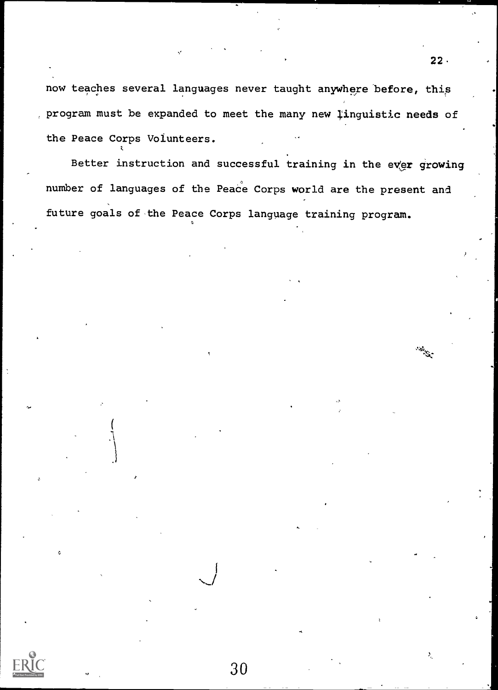now teaches several languages never taught anywhere before, this program must be expanded to meet the many new linguistic needs of the Peace Corps Volunteers.

Better instruction and successful training in the ever growing number of languages of the Peace Corps world are the present and future goals of the Peace Corps language training program.

30

 $22.$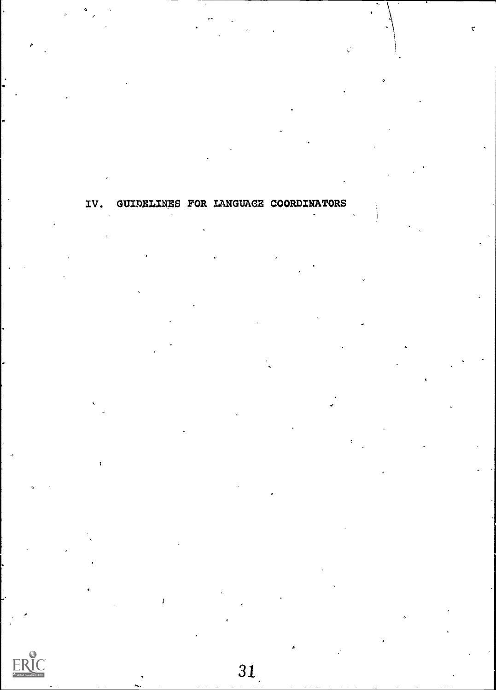IV. GUIDELINES FOR LANGUAGE COORDINATORS

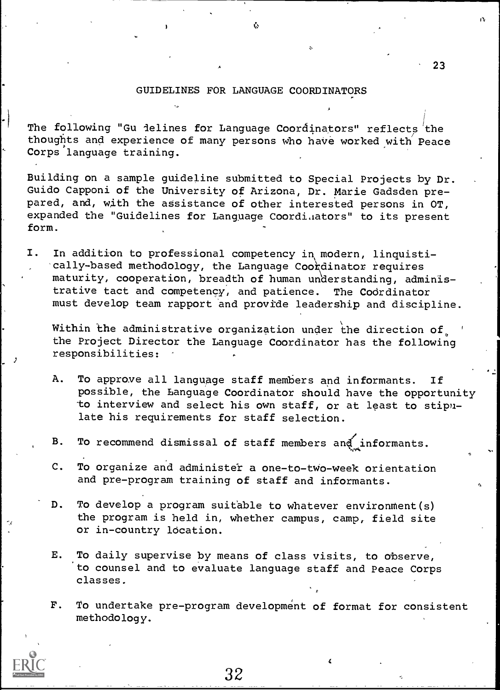#### GUIDELINES FOR LANGUAGE COORDINATORS

Ů.

The following "Gu ielines for Language Coordinators" reflects the thoughts and experience of many persons who have worked with Peace Corps language training.

Building on a sample guideline submitted to Special Projects by Dr. Guido Capponi of the University of Arizona, Dr. Marie Gadsden prepared, and, with the assistance of other interested persons in OT, expanded the "Guidelines for Language Coordiaators" to its present form.

I. In addition to professional competency in modern, linquistically-based methodology, the Language Coordinator requires maturity, cooperation, breadth of human understanding, administrative tact and competency, and patience. The Codrdinator must develop team rapport and provide leadership and discipline.

Within the administrative organization under the direction of, the Project Director the Language Coordinator has the following responsibilities:

- A. To approve all language staff members and informants. If possible, the Language Coordinator should have the opportunity to interview and select his own staff, or at least to stipulate his requirements for staff selection.
- B. To recommend dismissal of staff members and informants.
- C. To organize and administer a one-to-two-week orientation and pre-program training of staff and informants.
- D. To develop a program suitable to whatever environment(s) the program is held in, whether campus, camp, field site or in-country location.
- E. To daily supervise by means of class visits, to observe, to counsel and to evaluate language staff and Peace Corps classes.

32

F. To undertake pre-program development of format for consistent methodology.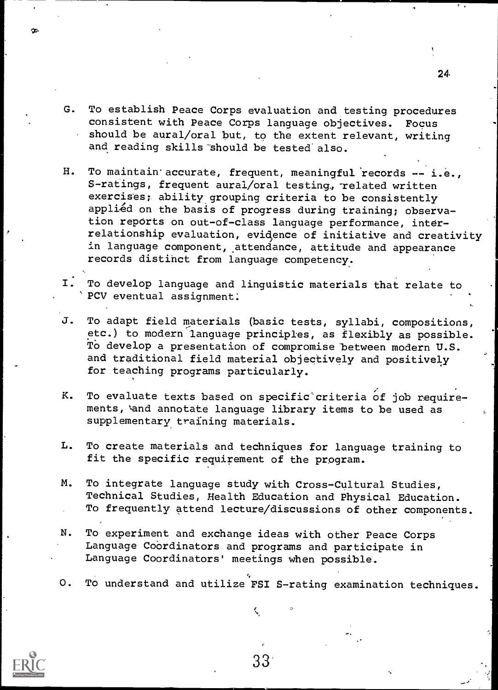- G. To establish Peace Corps evaluation and testing procedures consistent with Peace Corps language objectives. Focus should be aural/oral but, to the extent relevant, writing and reading skills should be tested also.
- H. To maintain accurate, frequent, meaningful records -- i.e., S-ratings, frequent aural/oral testing, related written exercises; ability grouping criteria to be consistently applied on the basis of progress during training; observation reports on out-of-class language performance, interrelationship evaluation, evidence of initiative and creativity in language component, attendance, attitude and appearance records distinct from language competency.
- I. To develop language and linguistic materials that relate to PCV eventual assignment:
- J. To adapt field materials (basic tests, syllabi, compositions, etc.) to modern language principles, as flexibly as possible. To develop a presentation of compromise between modern U.S. and traditional field material objectively and positively for teaching programs particularly.
- K. To evaluate texts based on specific criteria of job requirements, and annotate language library items to be used as supplementary training materials.
- L. To create materials and techniques for language training to fit the specific requirement of the program.
- M. To integrate language study with Cross-Cultural Studies, Technical Studies, Health Education and Physical Education. To frequently attend lecture/discussions of other components.
- N. To experiment and exchange ideas with other Peace Corps Language CoOrdinators and programs and participate in Language Coordinators' meetings when possible.
- 0. To understand and utilize FSI S-rating examination techniques.

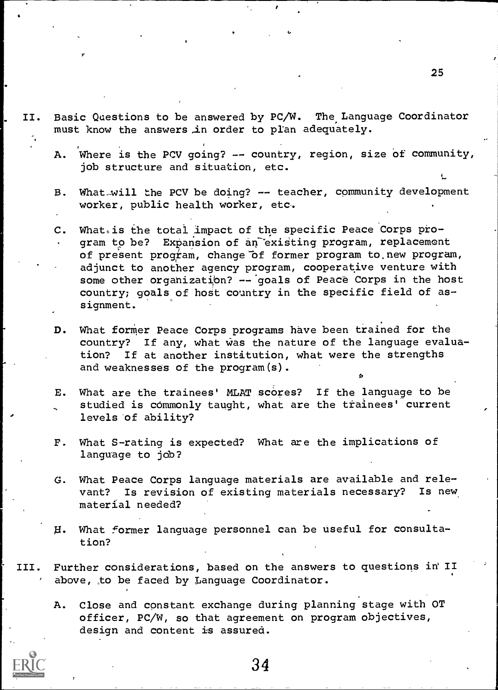- II. Basic Questions to be answered by PC/W. The Language Coordinator must know the answers in order to plan adequately.
	- A. Where is the PCV going? -- country, region, size of community, job structure and situation, etc.
	- B. What will the PCV be doing? -- teacher, community development worker, public health worker, etc.
	- C. What is the total impact of the specific Peace Corps program to be? Expansion of an existing program, replacement of present program, change of former program to new program, adjunct to another agency program, cooperative venture with some other organization? -- goals of Peace Corps in the host country; goals of host country in the specific field of assignment.
	- D. What former Peace Corps programs have been trained for the country? If any, what was the nature of the language evaluation? If at another institution, what were the strengths and weaknesses of the program(s).
	- E. What are the trainees' MLAT scores? If the language to be studied is commonly taught, what are the trainees' current levels of ability?
	- F. What S-rating is expected? What are the implications of language to job?
	- G. What Peace Corps language materials are available and relevant? Is revision of existing materials necessary? Is new material needed?
	- H. What former language personnel can be useful for consultation?
- III. Further considerations, based on the answers to questions in II above, to be faced by Language Coordinator.
	- A. Close and constant exchange during planning stage with OT officer, PC/W, so that agreement on program objectives, design and content is assured.

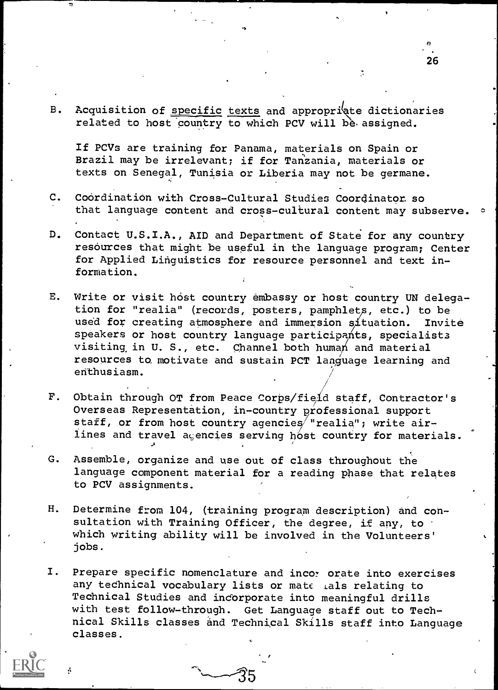B. Acquisition of specific texts and appropriate dictionaries related to host country to which PCV will be assigned.

If PCVs are training for Panama, materials on Spain or Brazil may be irrelevant; if for Tanzania, materials or texts on Senegal, Tunisia or Liberia may not be germane.

- C. Coordination with Cross-Cultural Studies Coordinator, so that language content and cross-cultural content may subserve.  $\circ$
- D. Contact U.S.I.A., AID and Department of State for any country resources that might be useful in the language program; Center for Applied Linguistics for resource personnel and text information.
- E. Write or visit host country embassy or host country UN delegation for "realia" (records, posters, pamphlet<sup>s</sup> , etc.) to be used for creating atmosphere and immersion situation. Invite speakers or host country language participants, specialists visiting in U. S., etc. Channel both human and material resources to, motivate and sustain PCT language learning and enthusiasm.
- F. Obtain through OT from Peace Corps/field staff, Contractor's Overseas Representation, in-country professional support staff, or from host country agencies realia"; write airlines and travel acencies serving host country for materials.
- G. Assemble, organize and use out of class throughout the language component material for a reading phase that relates to PCV assignments.
- H. Determine from 104, (training program description) and consultation with Training Officer, the degree, if any, to which writing ability will be involved in the Volunteers' jobs.
- I. Prepare specific nomenclature and incor orate into exercises any technical vocabulary lists or mate tals relating to Technical Studies and incorporate into meaningful drills with test follow-through. Get Language staff out to Technical Skills classes and Technical Skills staff into Language classes.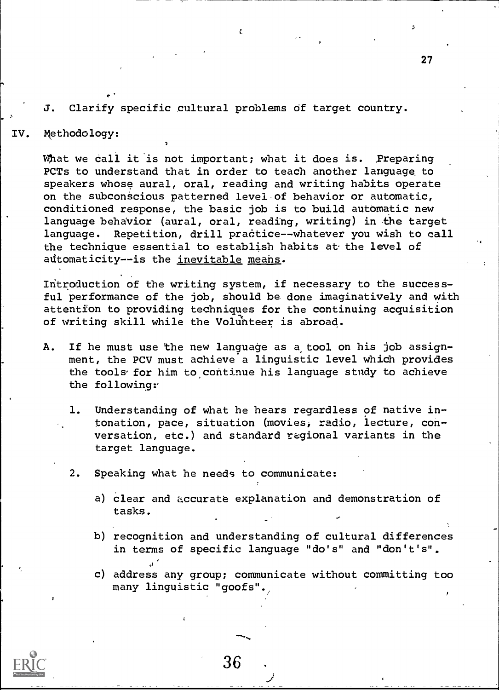#### J. Clarify specific cultural problems of target country.

#### IV. Methodology:

What we call it is not important; what it does is. Preparing PCTs to understand that in order to teach another language to speakers whose aural, oral, reading and writing habits operate on the subconscious patterned level of behavior or automatic, conditioned response, the basic job is to build automatic new language behavior (aural, oral, reading, writing) in the target language. Repetition, drill practice -- whatever you wish to call the technique essential to establish habits at the level of automaticity -- is the inevitable means.

Introduction of the writing system, if necessary to the successful performance of the job, should be done imaginatively and with attention to providing techniques for the continuing acquisition of writing skill while the Volunteer is abroad.

- A. If he must use the new language as a tool on his job assignment, the PCV must achieve a linguistic level which provides the tools for him to continue his language study to achieve the following
	- 1. Understanding of what he hears regardless of native intonation, pace, situation (movies, radio, lecture, conversation, etc.) and standard regional variants in the target language.
	- 2. Speaking what he needs to communicate:
		- a) clear and accurate explanation and demonstration of tasks.
		- b) recognition and understanding of cultural differences in terms of specific language "do's" and "don't's".

c) address any group; communicate without committing too many linguistic "goofs".

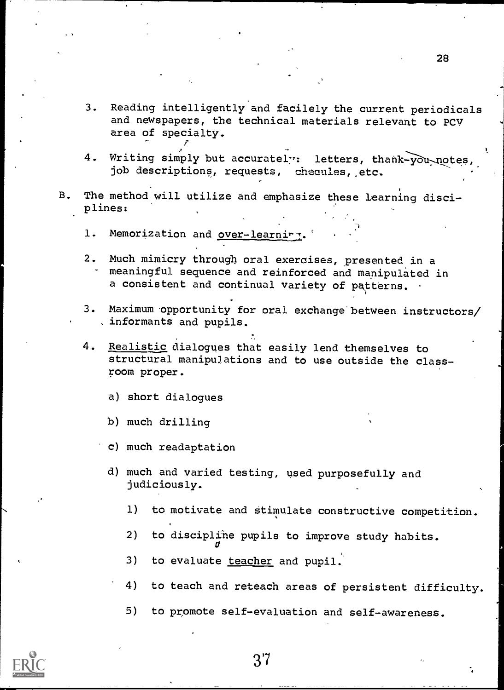- 3. Reading intelligently and facilely the current periodicals and newspapers, the technical materials relevant to PCV area of specialty..
- 4. Writing simply but accurately: letters, thank-you-notes job descriptions, requests, cheaules, etc.
- B. The method will utilize and emphasize these learning disciplines:
	- 1. Memorization and over-learning.
	- 2. Much mimicry through oral exercises, presented in a meaningful sequence and reinforced and manipulated in a consistent and continual variety of patterns.
	- 3. Maximum opportunity for oral exchange between instructors/ informants and pupils.
	- 4. Realistic dialogues that easily lend themselves to structural manipulations and to use outside the classroom proper.
		- a) short dialogues
		- b) much drilling
		- c) much readaptation
		- d) much and varied testing, used purposefully and judiciously.
			- 1) to motivate and stimulate constructive competition.
			- 2) to disciplihe pupils to improve study habits.
			- 3) to evaluate teacher and pupil.

 $\sigma$  and  $\sigma$ 

- 4) to teach and reteach areas of persistent difficulty.
- 5) to promote self-evaluation and self-awareness.



3'7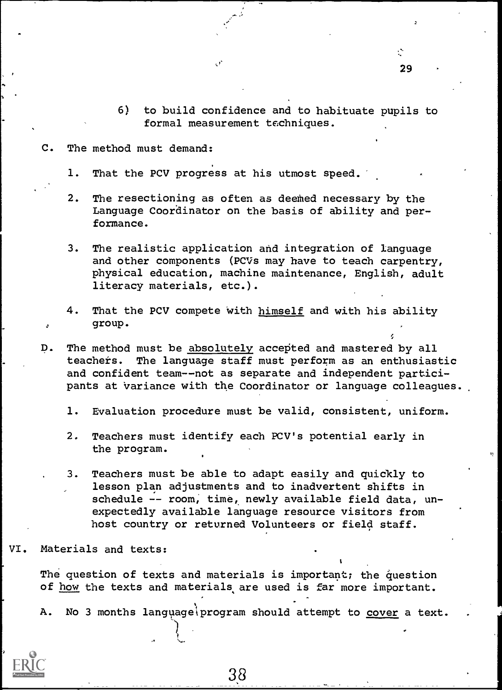- 6) to build confidence and to habituate pupils to formal measurement techniques.
- C. The method must demand:
	- 1. That the PCV progress at his utmost speed.
	- 2. The resectioning as often as deemed necessary by the Language Coordinator on the basis of ability and performance.
	- 3. The realistic application and integration of language and other components (PCVs may have to teach carpentry, physical education, machine maintenance, English, adult literacy materials, etc.).
	- 4. That the PCV compete with himself and with his ability group.
- $D$ . The method must be absolutely accepted and mastered by all teachers. The language staff must perform as an enthusiastic and confident team--not as separate and independent participants at variance with the Coordinator or language colleagues.
	- 1. Evaluation procedure must be valid, consistent, uniform.
	- 2. Teachers must identify each PCV's potential early in the program.
	- 3. Teachers must be able to adapt easily and quickly to lesson plan adjustments and to inadvertent shifts in schedule -- room, time, newly available field data, unexpectedly available language resource visitors from host country or returned Volunteers or field staff.

VI. Materials and texts:

The question of texts and materials is important; the question of how the texts and materials are used is far more important.

A. No 3 months language\program should attempt to cover a text.

38

Ϋ́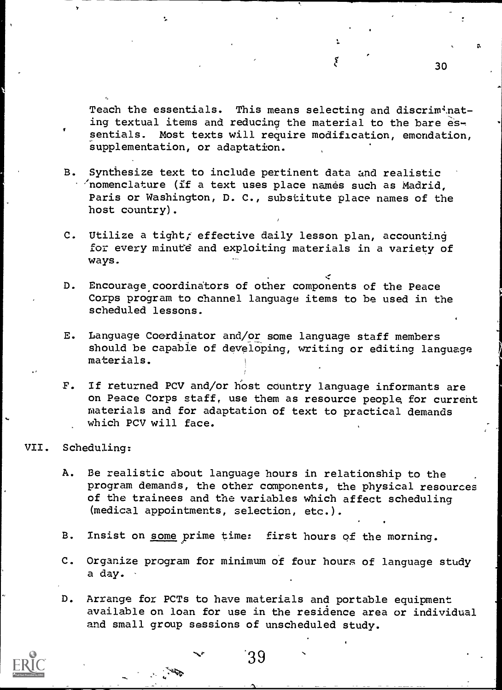Teach the essentials. This means selecting and discriminating textual items and reducing the material to the bare essentials. Most texts will require modification, emendation, supplementation, or adaptation.

ĩ

- B. Synthesize text to include pertinent data and realistic /nomenclature (if a text uses place names such as Madrid, Paris or Washington, D. C., substitute place names of the host country).
- C. Utilize a tight; effective daily lesson plan, accounting for every minute and exploiting materials in a variety of ways.
- D. Encourage, coordinators of other components of the Peace Corps program to channel language items to be used in the scheduled lessons.
- E. Language Coordinator and/or some language staff members Should be capable of developing, writing or editing language materials.
- F. If returned PCV and/or host country language informants are on Peace Corps staff, use them as resource people for current materials and for adaptation of text to practical demands which PCV will face.

#### VII. Scheduling:

- A. Be realistic about language hours in relationship to the program demands, the other components, the physical resources of the trainees and the variables which affect scheduling (medical appointments, selection, etc.).
- B. Insist on some prime time: first hours of the morning.
- C. Organize program for minimum of four hours of language study a day.
- D. Arrange for PCTs to have materials and portable equipment available on loan for use in the residence area or individual and small group sessions of unscheduled study.

'39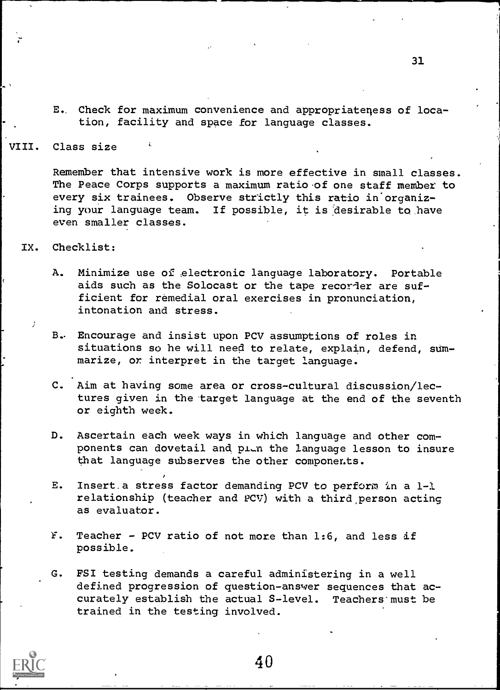E. Check for maximum convenience and appropriateness of location, facility and space for language classes.

VIII. Class size

Remember that intensive work is more effective in small classes. The Peace Corps supports a maximum ratio of one staff member to every six trainees. Observe strictly this ratio in'organizing your language team. If possible, it is desirable to have even smaller classes.

IX. Checklist:

- A. Minimize use of electronic language laboratory. Portable aids such as the Solocast or the tape recorder are sufficient for remedial oral exercises in pronunciation, intonation and stress.
- B, Encourage and insist upon PCV assumptions of roles in situations so he will need to relate, explain, defend, summarize, or interpret in the target language.
- C. Aim at having some area or cross-cultural discussion/lectures given in the target language at the end of the seventh or eighth week.
- D. Ascertain each week ways in which language and other components can dovetail and pion the language lesson to insure that language subserves the other components.
- E. Insert a stress factor demanding PCV to perform in a  $1-1$ relationship (teacher and PCV) with a third,person acting as evaluator.
- F. Teacher PCV ratio of not more than 1:6, and less if possible.
- G. PSI testing demands a careful administering in a well defined progression of question-answer sequences that accurately establish the actual S-level. Teachers'must be trained in the testing involved.

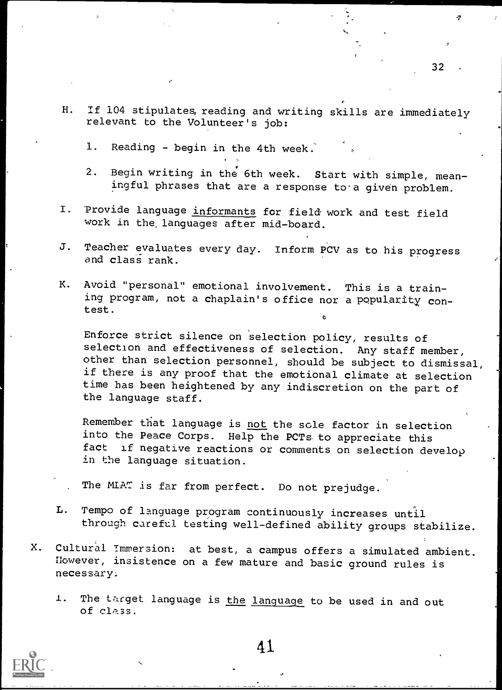- H. If 104 stipulates, reading and writing skills are immediately relevant to the Volunteer's job:
	- 1. Reading begin in the 4th week.'
	- 2. Begin writing in the 6th week. Start with simple, meaningful phrases that are a response to a given problem.
- I. Provide language informants for field work and test field work in the languages after mid-board.

 $\cdots$ 

- J. Teacher evaluates every day. Inform PCV as to his progress and class rank.
- K. Avoid "personal" emotional involvement. This is a training program, not a chaplain's office nor a popularity contest.

Enforce strict silence on selection policy, results of selection and effectiveness of selection. Any staff member, other than selection personnel, should be subject to dismissal, if there is any proof that the emotional climate at selection time has been heightened by any indiscretion on the part of the language staff.

Remember that language is not the sole factor in selection into the Peace Corps. Help the PCTs to appreciate this<br>fact if negative reactions or comments on sologion do: if negative reactions or comments on selection develop in the language situation.

The MLAT is far from perfect. Do not prejudge.

- L. Tempo of language program continuously increases until through careful testing well-defined ability groups stabilize.
- X. Cultural Immersion: at best, a campus offers a simulated ambient. However, insistence on a few mature and basic ground rules is necessary.
	- 1. The target language is the language to be used in and out of class,



41.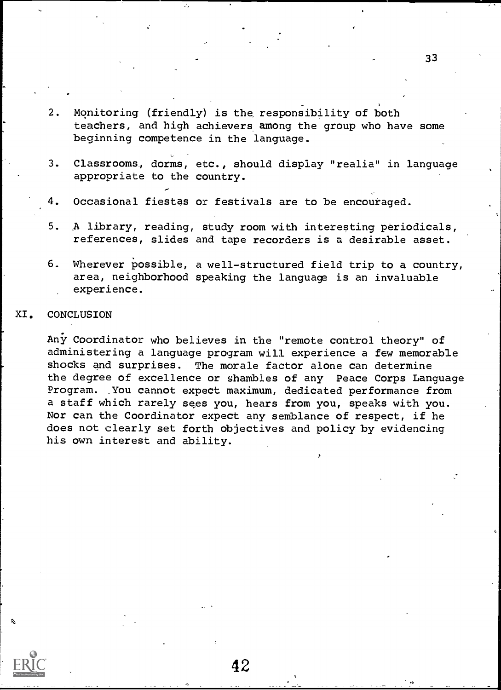- 2. Monitoring (friendly) is the, responsibility of both teachers, and high achievers among the group who have some beginning competence in the language.
- 3. Classrooms, dorms, etc., should display "realia" in language appropriate to the country.
- 4. Occasional fiestas or festivals are to be encouraged.
- 5. A library, reading, study room with interesting periodicals, references, slides and tape recorders is a desirable asset.
- 6. Wherever possible, a well-structured field trip to a country, area, neighborhood speaking the language is an invaluable experience.

#### XI. CONCLUSION

Any Coordinator who believes in the "remote control theory" of administering a language program will experience a few memorable shocks and surprises. The morale factor alone can determine the degree of excellence or shambles of any Peace Corps Language Program. You cannot expect maximum, dedicated performance from a staff which rarely sees you, hears from you, speaks with you. Nor can the Coordinator expect any semblance of respect, if he does not clearly set forth objectives and policy by evidencing his own interest and ability.

42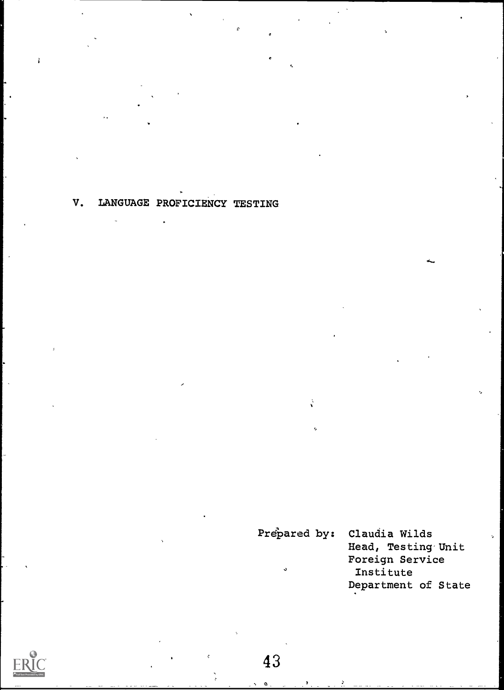V. LANGUAGE PROFICIENCY TESTING

Prepared by: Claudia Wilds Head, Testing'Unit Foreign Service Institute Department of State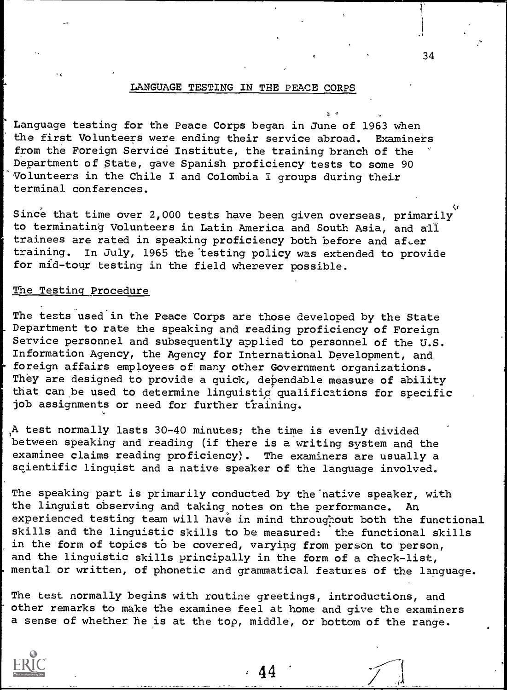#### LANGUAGE TESTING IN THE PEACE CORPS

Language testing for the Peace Corps began in June of 1963 when the first Volunteers were ending their service abroad. Examiners from the Foreign Service Institute, the training branch of the Department of State, gave Spanish proficiency tests to some 90 Volunteers in the Chile I and Colombia I groups during their terminal conferences.

Since that time over 2,000 tests have been given overseas, primarily to terminating Volunteers in Latin America and South Asia, and all trainees are rated in speaking proficiency both before and after<br>training. In July, 1965 the testing policy was extended to prov In July, 1965 the testing policy was extended to provide for mid-tour testing in the field wherever possible.

#### The Testing Procedure

The tests used in the Peace Corps are those developed by the State Department to rate the speaking and reading proficiency of Foreign Service personnel and subsequently applied to personnel of the U.S. Information Agency, the Agency for International Development, and foreign affairs employees of many other Government organizations. They are designed to provide a quick, dependable measure of ability that can be used to determine linguistig qualifications for specific job assignments or need for further training.

A test normally lasts 30-40 minutes; the time is evenly divided between speaking and reading (if there is a writing system and the examinee claims reading proficiency). The examiners are usually a scientific linguist and a native speaker of the language involved.

The speaking part is primarily conducted by the native speaker, with the linguist observing and taking notes on the performance. An experienced testing team will have in mind throughout both the functional skills and the linguistic skills to be measured: the functional skills in the form of topics to be covered, varying from person to person, and the linguistic skills principally in the form of a check-list, mental or written, of phonetic and grammatical features of the language.

The test normally begins with routine greetings, introductions, and other remarks to make the examinee feel at home and give the examiners a sense of whether he is at the top, middle, or bottom of the range.



44

34

a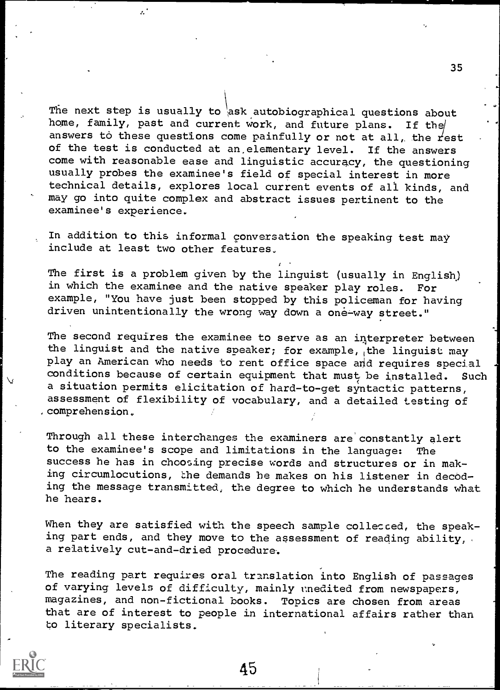The next step is usually to ask autobiographical questions about home, family, past and current work, and future plans. If the answers to these questions come painfully or not at all, the rest of the test is conducted at an,elementary level. If the answers come with reasonable ease and linguistic accuracy, the questioning usually probes the examinee's field of special interest in more technical details, explores local current events of all kinds, and may go into quite complex and abstract issues pertinent to the examinee's experience.

 $\mathbf{z}^{\star}$ 

In addition to this informal conversation the speaking test may include at least two other features

The first is a problem given by the linguist (usually in English) in which the examinee and the native speaker play roles. example, "You have just been stopped by this policeman for having driven unintentionally the wrong way down a one-way street."

The second requires the examinee to serve as an interpreter between the linguist and the native speaker; for example, the linguist may play an American who needs to rent office space and requires special conditions because of certain equipment that must be installed. Such a situation permits elicitation of hard-to-get syntactic patterns, assessment of flexibility of vocabulary, and a detailed testing of ,comprehension.

Through all these interchanges the examiners are constantly alert to the examinee's scope and limitations in the language: The success he has in choosing precise words and structures or in making circumlocutions, the demands he makes on his listener in decoding the message transmitted, the degree to which he understands what he hears.

When they are satisfied with the speech sample collected, the speaking part ends, and they move to the assessment of reading ability, . a relatively cut-and-dried procedure.

The reading part requires oral translation into English of passages of varying levels of difficulty, mainly unedited from newspapers, magazines, and non-fictional books. Topics are chosen from areas that are of interest to people in international affairs rather than to literary specialists.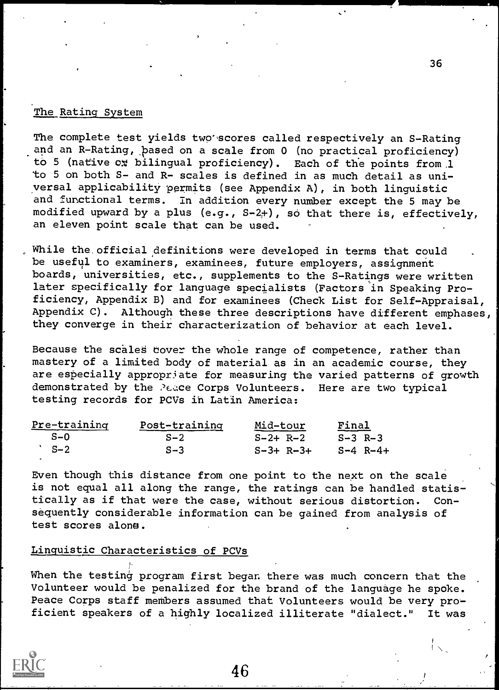#### The Rating System

The complete test yields two'scores called respectively an S-Rating and an R-Rating, pased on a scale from 0 (no practical proficiency) to 5 (native ox bilingual proficiency). Each of the points from 1 to 5 on both S- and R- scales is defined in as much detail as universal applicability permits (see Appendix A), in both linguistic and functional terms. In addition every number except the 5 may be modified upward by a plus (e.g., S-2+), so that there is, effectively, an eleven point scale that can be used.

While the, official definitions were developed in terms that could be useful to examiners, examinees, future employers, assignment boards, universities, etc., supplements to the S-Ratings were written later specifically for language specialists (Factors in Speaking Proficiency, Appendix B) and for examinees (Check List for Self-Appraisal, Appendix C). Although these three descriptions have different emphases, they converge in their characterization of behavior at each level.

Because the scales cover the whole range of competence, rather than mastery of a limited body of material as in an academic course, they are especially appropriate for measuring the varied patterns of growth demonstrated by the Peace Corps Volunteers. Here are two typical testing records for PCVs in Latin America:

| Pre-training | Post-training | Mid-tour    | <u>Final</u>      |  |
|--------------|---------------|-------------|-------------------|--|
| $S - 0$      | $S-2$         | $S-2+ R-2$  | $S-3$ R-3         |  |
| $S-2$        | $S-3$         | $S-3+ R-3+$ | $S - 4 R - - 4 +$ |  |

Even though this distance from one point to the next on the scale is not equal all along the range, the ratings can be handled statistically as if that were the case, without serious distortion. Consequently considerable information can be gained from analysis of test scores alone.

#### Linguistic Characteristics of PCVs

When the testing program first began there was much concern that the Volunteer would be penalized for the brand of the language he spoke. Peace Corps staff members assumed that Volunteers would be very proficient speakers of a highly localized illiterate "dialect." It was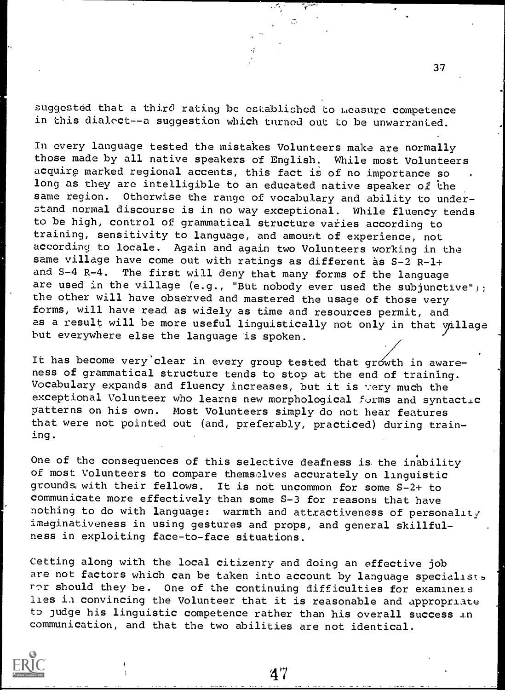suggested that a third rating be established to measure competence in this dialect -- a suggestion which turned out to be unwarranted.

In every language tested the mistakes Volunteers make are normally those made by all native speakers of English. While most Volunteers acquire marked regional accents, this fact is of no importance so long as they arc intelligible to an educated native speaker of the same region. Otherwise the range of vocabulary and ability to understand normal discourse is in no way exceptional. While fluency tends to be high, control of grammatical structure varies according to training, sensitivity to language, and amount of experience, not according to locale. Again and again two Volunteers working in the same village have come out with ratings as different as  $S-2$  R-1+ and  $S-4$  R-4. The first will deny that many forms of the language The first will deny that many forms of the language are used in the village (e.g., "But nobody ever used the subjunctive"); the other will have observed and mastered the usage of those very forms, will have read as widely as time and resources permit, and as a result will be more useful linguistically not only in that  $y$ illage but everywhere else the language is spoken.

It has become very clear in every group tested that growth in awareness of grammatical structure tends to stop at the end of training. Vocabulary expands and fluency increases, but it is very much the exceptional Volunteer who learns new morphological forms and syntactic patterns on his own. Most Volunteers simply do not hear features that were not pointed out (and, preferably, practiced) during training.

One of the consequences of this selective deafness is the inability of most Volunteers to compare themselves accurately on linguistic grounds, with their fellows. It is not uncommon for some S-2+ to communicate more effectively than some S-3 for reasons that have nothing to do with language: warmth and attractiveness of personality imaginativeness in using gestures and props, and general skillfulness in exploiting face-to-face situations.

Cetting along with the local citizenry and doing an effective job are not factors which can be taken into account by language specialists ror should they be. One of the continuing difficulties for examiners lies in convincing the Volunteer that it is reasonable and appropriate to judge his linguistic competence rather than his overall success in communication, and that the two abilities are not identical.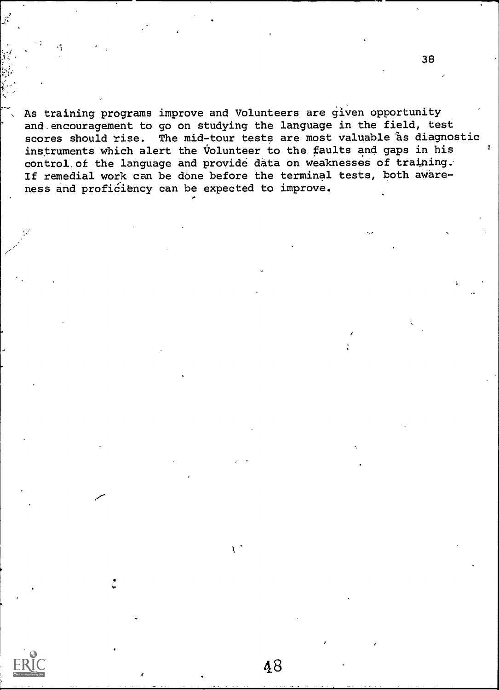As training programs improve and Volunteers are given opportunity and.encouragement to go on studying the language in the field, test scores should rise. The mid-tour tests are most valuable as diagnostic instruments which alert the Volunteer to the faults and gaps in his control.of the language and provide data on weaknesses of training. If remedial work can be done before the terminal tests, both awareness and proficiency can be expected to improve.

 $\mathcal{L}$ 

38

Ą.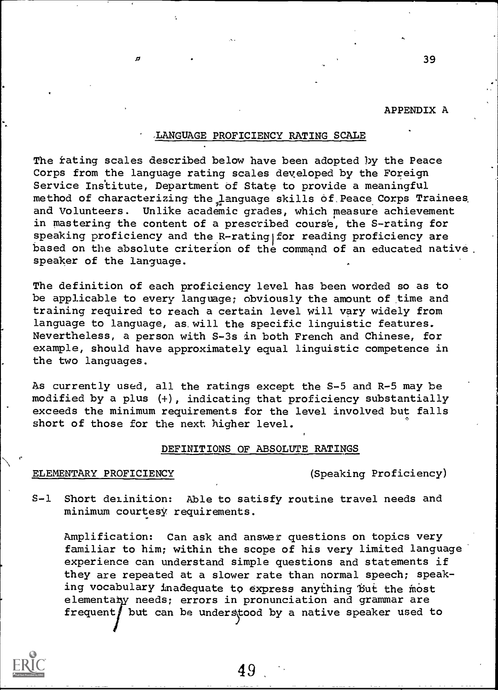#### APPENDIX A

39

#### ,LANGUAGE PROFICIENCY RATING SCALE

The fating scales described below have been adopted by the Peace Corps from the language rating scales developed by the Foreign Service Institute, Department of State to provide a meaningful method of characterizing the language skills of Peace Corps Trainees and Volunteers. Unlike academic grades, which measure achievement in mastering the content of a prescribed course, the S-rating for speaking proficiency and the R-rating for reading proficiency are based on the absolute criterion of the command of an educated native. speaker of the language.

The definition of each proficiency level has been worded so as to be applicable to every language; obviously the amount of time and training required to reach a certain level will vary widely from language to language, as. will the specific linguistic features. Nevertheless, a person with S-3s in both French and Chinese, for example, should have approximately equal linguistic competence in the two languages.

2s currently used, all the ratings except the S-5 and R-5 may be modified by a plus (+), indicating that proficiency substantially exceeds the minimum requirements for the level involved but falls short of those for the next higher level.

#### DEFINITIONS OF ABSOLUTE RATINGS

#### ELEMENTARY PROFICIENCY (Speaking Proficiency)

ń

S-1 Short delinition: Able to satisfy routine travel needs and minimum courtesy requirements.

Amplification: Can ask and answer questions on topics very familiar to him; within the scope of his very limited language experience can understand simple questions and statements if they are repeated at a slower rate than normal speech; speaking vocabulary inadequate to express anything but the most elementary needs; errors in pronunciation and grammar are frequent $\int$  but can be understood by a native speaker used to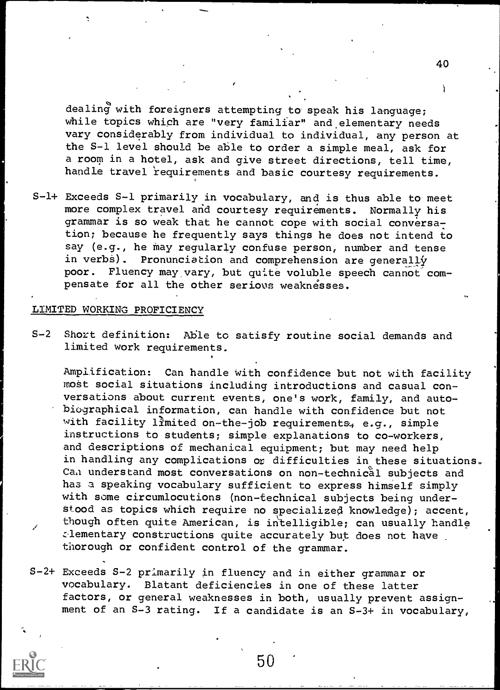dealing with foreigners attempting to speak his language; while topics which are "very familiar" and elementary needs vary considerably from individual to individual, any person at the S-1 level should be able to order a simple meal, ask for a room in a hotel, ask and give street directions, tell time, handle travel requirements and basic courtesy requirements.

S-1+ Exceeds S-1 primarily in vocabulary, and is thus able to meet more complex travel and courtesy requirements. Normally his grammar is so weak that he cannot cope with social conversation; because he frequently says things he does not intend to say (e.g., he may regularly confuse person, number and tense in verbs). Pronunciation and comprehension are generally poor. Fluency may vary, but quite voluble speech cannot compensate for all the other serious weaknesses.

#### LIMITED WORKING PROFICIENCY

S-2 Short definition: Able to satisfy routine social demands and limited work requirements.

Amplification: Can handle with confidence but not with facility most social situations including introductions and casual conversations about current events, one's work, family, and autobiographical information, can handle with confidence but not with facility limited on-the-job requirements, e.g., simple instructions to students; simple explanations to co-workers, and descriptions of mechanical equipment; but may need help in handling any complications or difficulties in these situations. Can understand most conversations on non-technical subjects and has a speaking vocabulary sufficient to express himself simply with some circumlocutions (non-technical subjects being understood as topics which require no specialized knowledge); accent, though often quite American, is intelligible; can usually handle elementary constructions quite accurately but does not have thorough or confident control of the grammar.

S-2+ Exceeds S-2 primarily in fluency and in either grammar or vocabulary. Blatant deficiencies in one of these latter factors, or general weaknesses in both, usually prevent assignment of an S-3 rating. If a candidate is an S-3+ in vocabulary,

12 and 20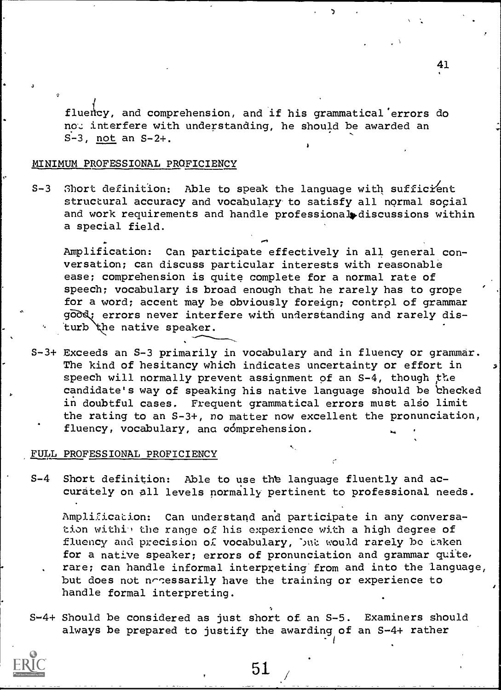fluency, and comprehension, and if his grammatical errors do not interfere with understanding, he should be awarded an S-3, not an S-2+.

#### MINIMUM PROFESSIONAL PROFICIENCY

S-3 Short definition: Able to speak the language with sufficient structural accuracy and vocabulary to satisfy all normal social and work requirements and handle professional discussions within a special field.

Amplification: Can participate effectively in all general conversation; can discuss particular interests with reasonable ease; comprehension is quite complete for a normal rate of speech; vocabulary is broad enough that he rarely has to grope for a word; accent may be obviously foreign; control of grammar good; errors never interfere with understanding and rarely disturb the native speaker.

S-3+ Exceeds an S-3 primarily in vocabulary and in fluency or grammar. The kind of hesitancy which indicates uncertainty or effort in speech will normally prevent assignment of an  $S-4$ , though the candidate's way of speaking his native language should be checked in doubtful cases. Frequent grammatical errors must also limit the rating to an S-3+, no matter now excellent the pronunciation, fluency, vocabulary, and comprehension.

#### FULL PROFESSIONAL PROFICIENCY

S-4 Short definition: Able to use the language fluently and accurately on all levels normally pertinent to professional needs.

Amplification: Can understand and participate in any conversation within the range of his experience with a high degree of fluency and precision of vocabulary, but would rarely be taken for a native speaker; errors of pronunciation and grammar quite. rare; can handle informal interpreting'from and into the language, but does not notessarily have the training or experience to handle formal interpreting.

I

S-4+ Should be considered as just short of. an S-5. Examiners should always be prepared to justify the awarding of an S-4+ rather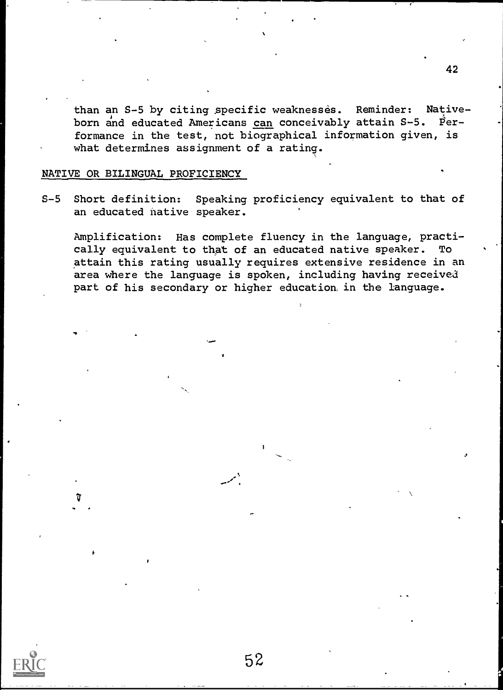than an S-5 by citing specific weaknesses. Reminder: Nativeborn and educated Americans can conceivably attain S-5. Performance in the test, not biographical information given, is what determines assignment of a rating.

#### NATIVE OR BILINGUAL PROFICIENCY

S-5 Short definition: Speaking proficiency equivalent to that of an educated native speaker.

Amplification: Has complete fluency in the language, practically equivalent to that of an educated native speaker. To attain this rating usually requires extensive residence in an area where the language is spoken, including having received part of his secondary or higher education in the language.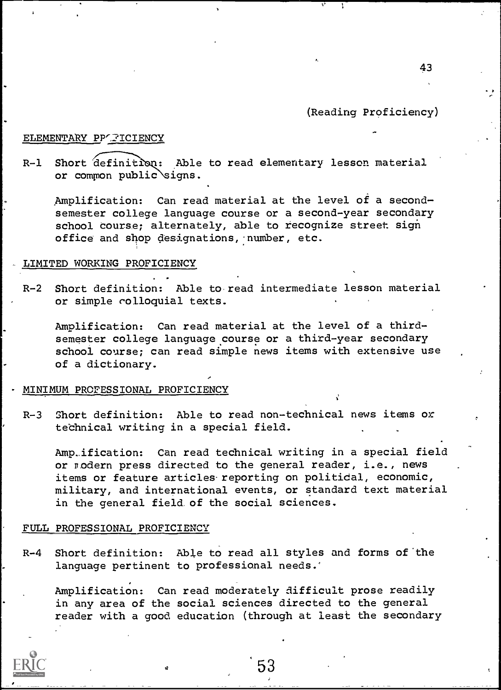(Reading Proficiency)

#### ELEMENTARY PP'FICIENCY

R-1 Short definition: Able to read elementary lesson material or common public signs.

Amplification: Can read material at the level of a secondsemester college language course or a second-year secondary school course; alternately, able to recognize street sign office and shop designations,-number, etc.

#### LIMITED WORKING PROFICIENCY

R-2 Short definition: Able to read intermediate lesson material or simple colloquial texts.

Amplification: Can read material at the level of a thirdsemester college language course or a third-year secondary school course; can read simple news items with extensive use of a dictionary.

#### MINIMUM PROFESSIONAL PROFICIENCY

R-3 Short definition: Able to read non-technical news items or technical writing in a special field.

Amp\_ification: Can read technical writing in a special field or modern press directed to the general reader, i.e., news items or feature articles reporting on politidal, economic, military, and international events, or standard text material in the general field of the social sciences.

#### FULL PROFESSIONAL PROFICIENCY

R-4 Short definition: Able to read all styles and forms of`the language pertinent to professional needs.'

Amplification: Can read moderately difficult prose readily in any area of the social sciences directed to the general reader with a good education (through at least the secondary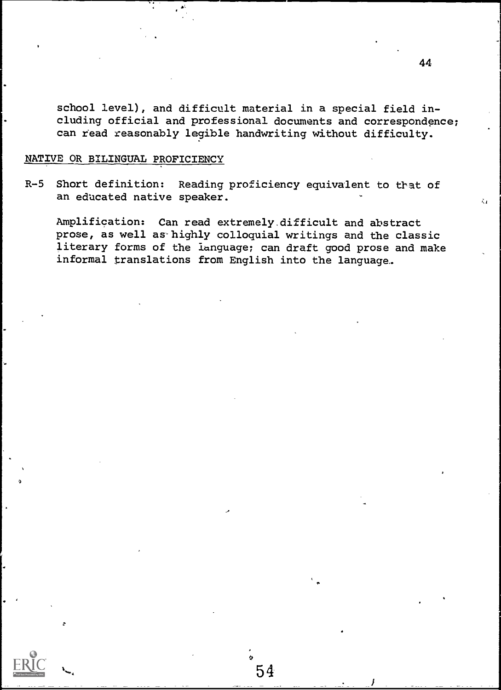school level), and difficult material in a special field including official and professional documents and correspondence; can read reasonably legible handwriting without difficulty.

#### NATIVE OR BILINGUAL PROFICIENCY

R-5 Short definition: Reading proficiency equivalent to that of an educated native speaker.

Amplification: Can read extremely.difficult and abstract prose, as well as'highly colloquial writings and the classic literary forms of the ianguage; can draft good prose and make informal translations from English into the language.

54

š.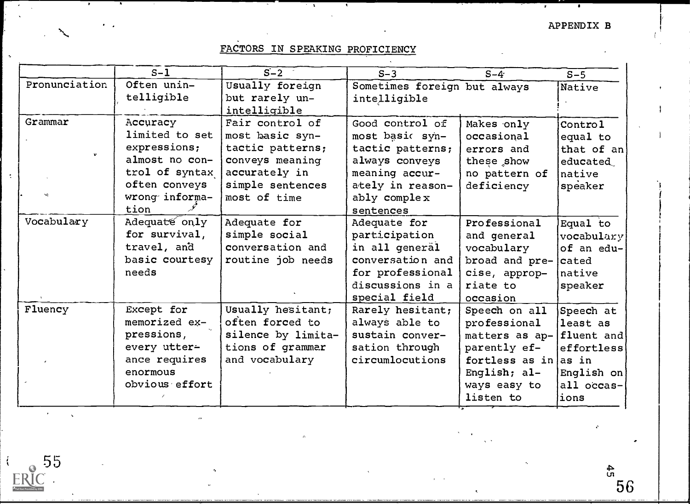# FACTORS IN SPEAKING PROFICIENCY

 $\overline{\phantom{a}}$ 

|               | $S-1$          | $S-2$              | $S-3$                        | $S-4$                     | $S-5$      |
|---------------|----------------|--------------------|------------------------------|---------------------------|------------|
| Pronunciation | Often unin-    | Usually foreign    | Sometimes foreign but always |                           | Native     |
|               | telligible     | but rarely un-     | intelligible                 |                           |            |
|               |                | intelligible       |                              |                           |            |
| Grammar       | Accuracy       | Fair control of    | Good control of              | Makes only                | Control    |
|               | limited to set | most basic syn-    | most basic syn-              | occasional                | equal to   |
| $\mathbf{v}$  | expressions;   | tactic patterns;   | tactic patterns;             | errors and                | that of an |
|               | almost no con- | conveys meaning    | always conveys               | these show                | educated   |
|               | trol of syntax | accurately in      | meaning accur-               | no pattern of             | native     |
|               | often conveys  | simple sentences   | ately in reason-             | deficiency                | speaker    |
|               | wrong informa- | most of time       | ably complex                 |                           |            |
|               | tion           |                    | sentences                    |                           |            |
| Vocabulary    | Adequate only  | Adequate for       | Adequate for                 | Professional              | Equal to   |
|               | for survival,  | simple social      | participation                | and general               | vocabulary |
|               | travel, and    | conversation and   | in all general               | vocabulary                | of an edu- |
|               | basic courtesy | routine job needs  | conversation and             | broad and $pre- cated$    |            |
|               | needs          |                    | for professional             | cise, approp-             | native     |
|               |                |                    | discussions in a             | riate to                  | speaker    |
|               |                |                    | special field                | occasion                  |            |
| Fluency       | Except for     | Usually hesitant;  | Rarely hesitant;             | Speech on all             | Speech at  |
|               | memorized ex-  | often forced to    | always able to               | professional              | least as   |
|               | pressions,     | silence by limita- | sustain conver-              | matters as ap- fluent and |            |
|               | every utter-   | tions of grammar   | sation through               | parently ef-              | effortless |
|               | ance requires  | and vocabulary     | circumlocutions              | fortless as in as in      |            |
|               | enormous       |                    |                              | English; al-              | English on |
|               | obvious effort |                    |                              | ways easy to              | all occas- |
|               |                |                    |                              | listen to                 | lions      |

 $\frac{1}{2}$ 

 $\lambda_{\rm{max}}$  ,  $\lambda_{\rm{max}}$ 

 $rac{55}{\text{ERC}}$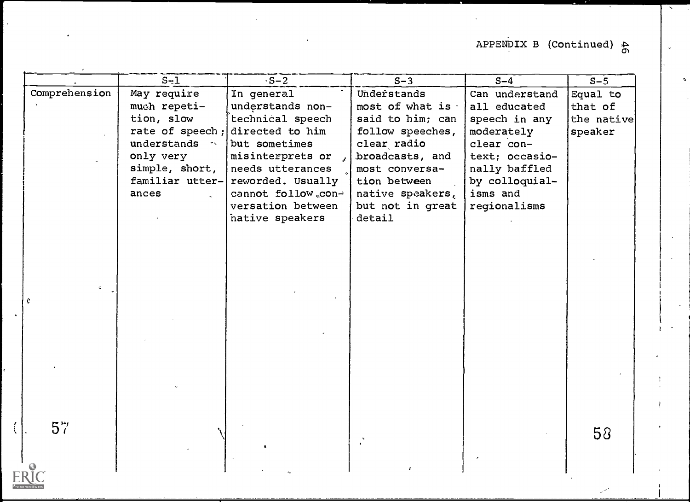# APPENDIX B (Continued)  $\frac{1}{\omega}$

|               | $S-1$                      | $\sqrt{S-2}$                         | $S-3$                             | $S-4$                           | $S - 5$    |  |
|---------------|----------------------------|--------------------------------------|-----------------------------------|---------------------------------|------------|--|
| Comprehension | May require                | In general                           | Understands                       | Can understand                  | Equal to   |  |
|               | much repeti-               | understands non-                     | most of what is                   | all educated                    | that of    |  |
|               | tion, slow                 | technical speech                     | said to him; can                  | speech in any                   | the native |  |
|               |                            | rate of speech; directed to him      | follow speeches,                  | moderately                      | speaker    |  |
|               | understands *<br>only very | but sometimes                        | clear radio                       | clear con-                      |            |  |
|               | simple, short,             | misinterprets or<br>needs utterances | broadcasts, and<br>most conversa- | text; occasio-<br>nally baffled |            |  |
|               | familiar utter-            | reworded. Usually                    | tion between                      | by colloquial-                  |            |  |
|               | ances                      | cannot follow.con-                   | native speakers,                  | isms and                        |            |  |
|               |                            | versation between                    | but not in great                  | regionalisms                    |            |  |
|               |                            | native speakers                      | detail                            |                                 |            |  |
|               |                            |                                      |                                   |                                 |            |  |
|               |                            |                                      |                                   |                                 |            |  |
|               |                            |                                      |                                   |                                 |            |  |
|               |                            |                                      |                                   |                                 |            |  |
|               |                            |                                      |                                   |                                 |            |  |
|               |                            |                                      |                                   |                                 |            |  |
|               |                            |                                      |                                   |                                 |            |  |
|               |                            |                                      |                                   |                                 |            |  |
|               |                            |                                      |                                   |                                 |            |  |
|               |                            |                                      |                                   |                                 |            |  |
|               |                            |                                      |                                   |                                 |            |  |
|               |                            |                                      |                                   |                                 |            |  |
|               |                            |                                      |                                   |                                 |            |  |
|               |                            |                                      |                                   |                                 |            |  |
|               |                            |                                      |                                   |                                 |            |  |
| $5\%$         |                            |                                      |                                   |                                 | 58         |  |
|               |                            |                                      |                                   |                                 |            |  |
|               |                            |                                      |                                   |                                 |            |  |
|               |                            |                                      |                                   |                                 |            |  |

 $\left\langle \right\rangle$ 

F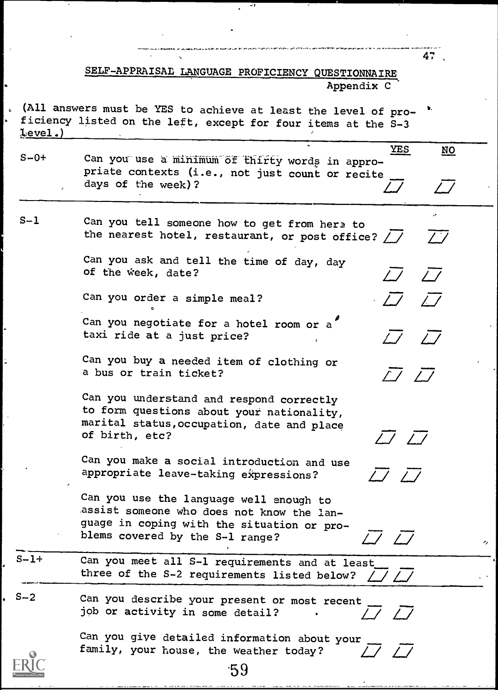SELF-APPRAISAL LANGUAGE PROFICIENCY QUESTIONNAIRE Appendix C

47

 $\overline{a}$ 

 $\overline{\omega}$   $\overline{\omega}$  |

 $\overline{\mathcal{L}}$   $\overline{\mathcal{L}}$   $\overline{\mathcal{L}}$ 

 $LJ$   $LJ$ 

 $\sqrt{7}$   $\sqrt{7}$ 

 $\overline{7}$   $\overline{7}$ 

 $17\quad17$ 

(All answers must be YES to achieve at least the level of proficiency listed on the left, except for four items at the S-3 level.)

S-0+ Can you use a minimum of thirty words in appro-  $\overline{\phantom{a}}$ priate contexts (i.e., not just count or recite days of the week)? YES NO  $\overline{\omega}$  ,  $\overline{\omega}$  ,  $\vert$ 

S-1 Can you tell someone how to get from here to the nearest hotel, restaurant, or post office?  $\angle$  /

> Can you ask and tell the time of day, day of the week, date?

Can you order a simple meal?

o a contra de la contra de la contra de la contra de la contra de la contra de la contra de la contra de la co<br>O de la contra de la contra de la contra de la contra de la contra de la contra de la contra de la contra de l

Can you negotiate for a hotel room or a' taxi ride at a just price?

Can you buy a needed item of clothing or a bus or train ticket?

Can you understand and respond correctly to form questions about your nationality, marital status,occupation, date and place of birth, etc?

Can you make a social introduction and use appropriate leave-taking expressions?

Can you use the language well enough to assist someone who does not know the language in coping with the situation or problems covered by the S-1 range?

 $S-1+$ Can you meet all S-1 requirements and at least three of the S-2 requirements listed below?

S-2 Can you describe your present or most recent job or activity in some detail?

> Can you give detailed information about your family, your house, the weather today?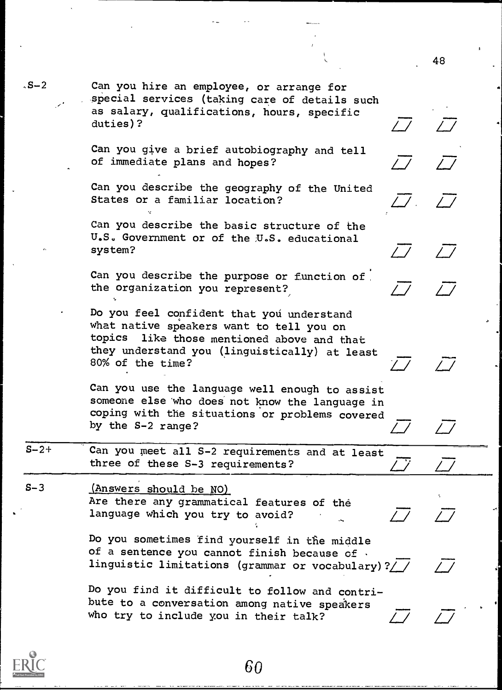$\overline{\mathcal{L}}$   $\overline{\mathcal{L}}$ 

 $\overline{\mathcal{L}}$   $\overline{\mathcal{L}}$   $\overline{\mathcal{L}}$ 

 $\overline{\mathcal{L}}$   $\overline{\mathcal{L}}$ 

 $\frac{1}{\sqrt{1}}$ 

-2 Can you hire an employee, or arrange for special services (taking care of details such as salary, qualifications, hours, specific duties)?

> Can you give a brief autobiography and tell of immediate plans and hopes?

Can you describe the geography of the United States or a familiar location?

Can you describe the basic structure of the U.S. Government or of the:U.S. educational system?

Can you describe the purpose or function of the organization you represent?,

Do you feel confident that you understand what native speakers want to tell you on topics like those mentioned above and that they understand you (linguistically) at least 80% of the time?

Can you use the language well enough to assist someone else 'who does not know the language in coping with the situations or problems covered by the S-2 range?

S-2+ Can you meet all S-2 requirements and at least three of these  $S-3$  requirements?

S-3 (Answers should be NO) Are there any grammatical features of the language which you try to avoid?

> Do you sometimes find yourself in the middle of a sentence you cannot finish because of . linguistic limitations (grammar or vocabulary)?//

Do you find it difficult to follow and contribute to a conversation among native speakers who try to include you in their talk?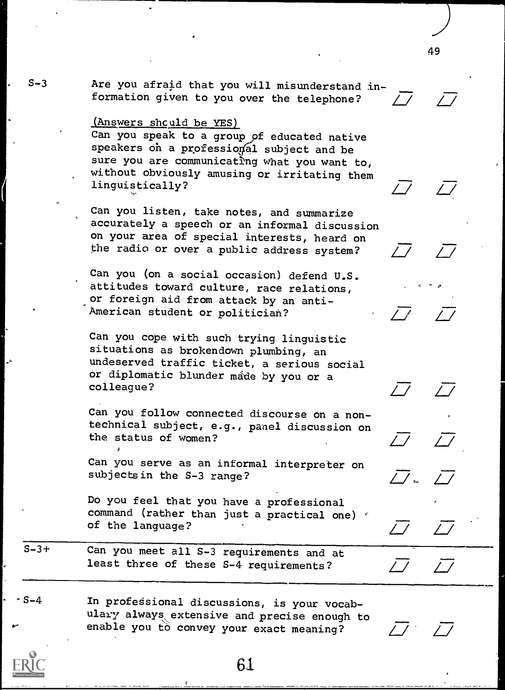S-3 Are you afraid that you will misunderstand in-<br>formation given to you over the telephone?

#### ,(Answers shculd be YES)

Can you speak to a group of educated native speakers on a professional subject and be sure you are communicating what you want to, without obviously amusing or irritating them linguistically?

Can you listen, take notes, and summarize accurately a speech or an informal discussion on your area of special interests, heard on the radio or over a public address system?

Can you (on a social occasion) defend U.S. attitudes toward culture, race relations, . or foreign aid from attack by an anti-American student or politician?

Can you cope with such trying linguistic situations as brokendown plumbing, an undeserved traffic ticket, a serious social or diplomatic blunder made by you or a colleague?

Can you follow connected discourse on a nontechnical subject, e.g., panel discussion on the status of women?

Can you serve as an informal interpreter on subjectsin the S-3 range?

Do you feel that you have a professional command (rather than just a practical one)  $\epsilon$ of the language?

S-3+ Can you meet all S-3 requirements and at least three of these S-4 requirements?

S-4 In professional discussions, is your vocabulary always extensive and precise enough to enable you to convey your exact meaning?

 $\overline{\mathcal{L}}$   $\overline{\mathcal{L}}$ 

 $\sqcup$ 

 $\overline{L}$   $\overline{L}$ 

 $\Box$ 

 $\overline{\mathcal{L}}$   $\overline{\mathcal{L}}$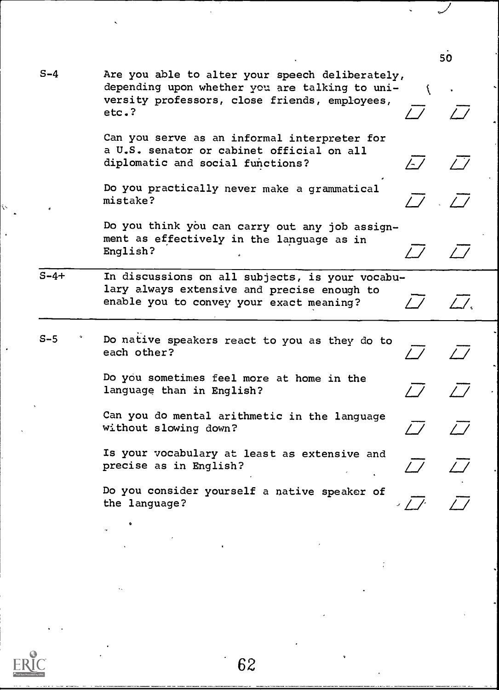S-4 Are you able to alter your speech deliberately, depending upon whether you are talking to university professors, close friends, employees, etc.? etc.?  $\angle$   $\angle$   $\angle$ 

50

Ň.

-

 $\overline{\omega}$  .

Can you serve as an informal interpreter for a U.S. senator or cabinet official on all diplomatic and social functions?

Do you practically never make a grammatical mistake?

Do you think you can carry out any job assignment as effectively in the language as in English?

S-4+ In discussions on all subjects, is your vocabulary always extensive and precise enough to enable you to convey your exact meaning?  $\frac{1}{2}$ 

S-5 Do native speakers react to you as they do to each other?

> Do you sometimes feel more at home in the language than in English?

Can you do mental arithmetic in the language without slowing down?

Is your vocabulary at least as extensive and precise as in English?

Do you consider yourself a native speaker of the language?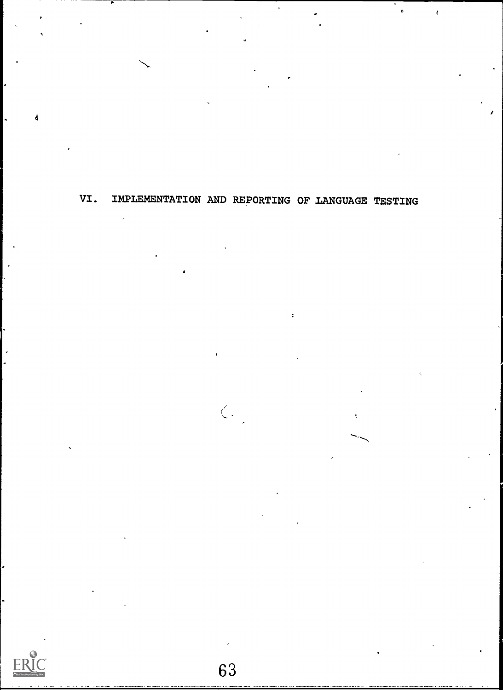VI. IMPLEMENTATION AND REPORTING OF LANGUAGE TESTING

ł



Å

 $\langle$  .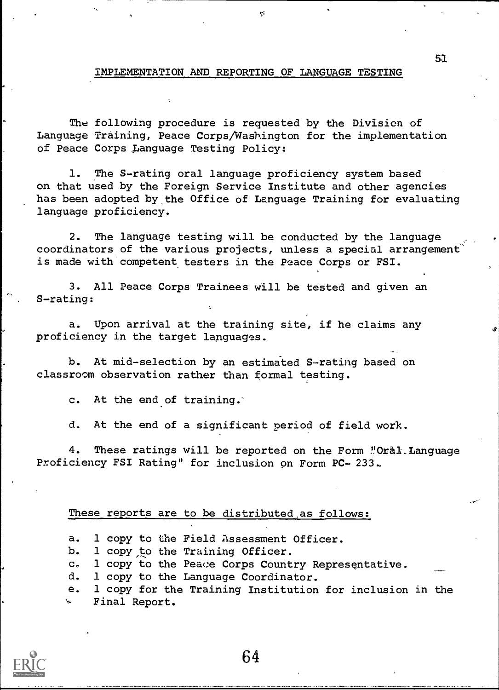#### IMPLEMENTATION AND REPORTING OF LANGUAGE TESTING

ę.

The following procedure is requested-by the Division of Language Training, Peace Corps/Washington for the implementation of Peace Corps Language Testing Policy:

1. The S-rating oral language proficiency system based on that used by the Foreign Service Institute and other agencies has been adopted by the Office of Language Training for evaluating language proficiency.

2. The language testing will be conducted by the language coordinators of the various projects, unless a special arrangement' is made with competent testers in the Peace Corps or FSI.

3. All Peace Corps Trainees will be tested and given an S-rating:

a. Upon arrival at the training site, if he claims any proficiency in the target lapguages.

b. At mid-selection by an estimated S-rating based on classroom observation rather than formal testing.

c. At the end of training.'

d. At the end of a significant period of field work.

4. These ratings will be reported on the Form "Oral. Language Proficiency FSI Rating" for inclusion on Form PC- 233..

#### These reports are to be distributed as follows:

a. 1 copy to the Field Assessment Officer.

b. 1 copy to the Training Officer.

c. 1 copy to the Peace Corps Country Representative.

d. 1 copy to the Language Coordinator.

e. 1 copy for the Training Institution for inclusion in the Final Report.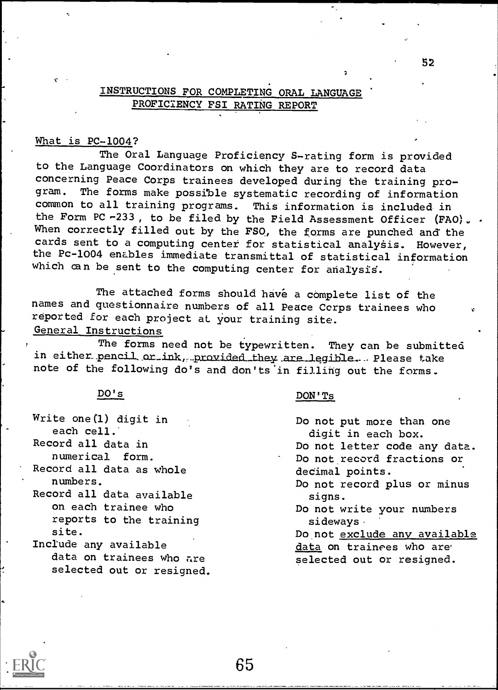## INSTRUCTIONS FOR COMPLETING ORAL LANGUAGE PROFICIENCY FSI RATING REPORT

#### What is PC-1004?

The Oral Language Proficiency S-rating form is provided to the Language Coordinators on which they are to record data concerning Peace Corps trainees developed during the training program. The forms make possible systematic recording of information common to all training programs. This information is included in the Form PC  $-233$ , to be filed by the Field Assessment Officer (FAO).. When correctly filled out by the FSO, the forms are punched and the cards sent to a computing center for statistical analysis. However, the Pc-1004 enables immediate transmittal of statistical information which can be sent to the computing center for analysis.

The attached forms should have a complete list of the names and questionnaire numbers of all Peace Ccrps trainees who reported for each project at your training site.

General Instructions

The forms need not be typewritten. They can be submitted in either pencil or ink, provided they are legible. - Please take note of the following do's and don'ts 'in filling out the forms.

65

#### DO's

- Write one (1) digit in each cell.
- Record all data in numerical form.

 $\bullet$  and  $\bullet$ 

- Record all data as whole numbers.
- Record all data available on each trainee who reports to the training site.
- Include any available data on trainees who are selected out or resigned.

#### DON'Ts

Do not put more than one digit in each box. Do not letter code any data. Do not record fractions or decimal points. Do not record plus or minus signs. Do not write your numbers sideways $\cdot$ Do not exclude any available data on trainees who are selected out or resigned.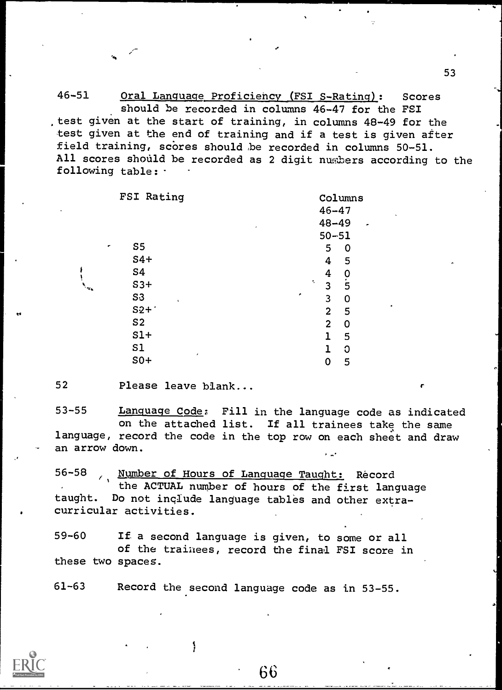46-51 Oral Language Proficiency (FSI S-Rating): Scores should be recorded in columns 46-47 for the FSI test given at the start of training, in columns 48-49 for the test given at the end of training and if a test is given after field training, scores should be recorded in columns 50-51. All scores should be recorded as 2 digit nusbers according to the following table:

| FSI Rating                       | Columns                          |
|----------------------------------|----------------------------------|
|                                  | $46 - 47$<br>$\hat{\phantom{a}}$ |
| ۰                                | $48 - 49$<br>×                   |
|                                  | $50 - 51$                        |
| S <sub>5</sub>                   | 5<br>0                           |
| $S4+$                            | $\boldsymbol{4}$<br>5            |
| S4                               | $\boldsymbol{4}$<br>0            |
| $S3+$                            | $\overline{5}$<br>÷.<br>3        |
| S <sub>3</sub><br>$\mathbf{s}_i$ | ۰<br>3<br>0                      |
| $S2 +$                           | ٠<br>$\overline{2}$<br>5         |
| S <sub>2</sub>                   | $\overline{2}$<br>0              |
| $S1+$                            | $\mathbf{1}$<br>5                |
| S1                               | $\overline{1}$<br>C              |
| ٠<br>$S0+$                       | 0<br>5                           |
|                                  |                                  |

52 Please leave blank...

53-55 Language Code: Fill in the language code as indicated on the attached list. If all trainees take the same language, record the code in the top row on each sheet and draw an arrow down.

56-58 Wumber of Hours of Language Taught: Record the ACTUAL number of hours of the first language taught. Do not inglude language tables and other extracurricular activities.

59-60 If a second language is given, to some or all of the trainees, record the final FSI score in these two spaces.

61-63 Record the second language code as in 53-55.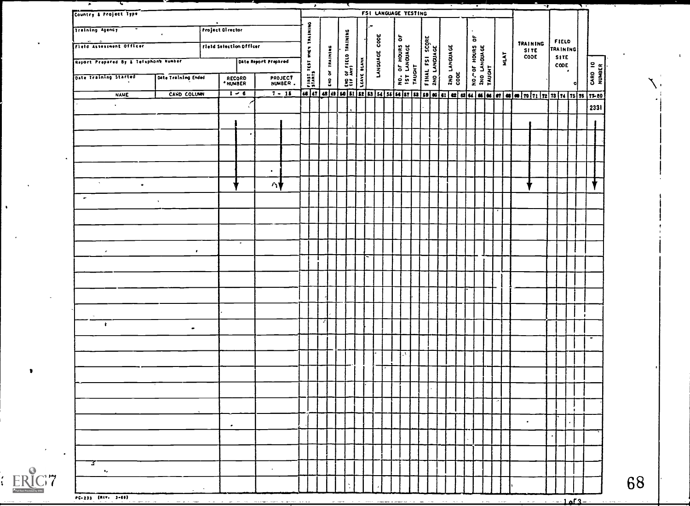| Country & Project Type                |                     |                                       |                                                                                                               |                    |                 |                      | FSI LANGUAGE TESTING |                                           |                                 |                      |               |      |           |                          |                                  |               |         |    |  |
|---------------------------------------|---------------------|---------------------------------------|---------------------------------------------------------------------------------------------------------------|--------------------|-----------------|----------------------|----------------------|-------------------------------------------|---------------------------------|----------------------|---------------|------|-----------|--------------------------|----------------------------------|---------------|---------|----|--|
| Training Agency                       |                     | $\sim$ 100 $\sim$<br>Project Director |                                                                                                               | TRAINING           |                 |                      |                      |                                           |                                 |                      | ិ             |      |           |                          |                                  |               |         |    |  |
| Field Assessment Officer              |                     | Fletd Selection Officer               |                                                                                                               | $\ddot{\tilde{z}}$ |                 | THE OF SILLO TAINING | LANGUAGE CODE        | NO. OF HOURS OF<br>15T LANGUAGE<br>TAUGHT | FINAL FSI SCORE<br>2NO LANGUAGE |                      | NO." OF HOURS |      |           | TRAINING<br>SITE<br>CODE | FIELD<br>TRAINING<br><b>SITE</b> |               |         |    |  |
| Report Prepared By & Telephone Number |                     |                                       | Date Report Prepared                                                                                          | FIRST TEST         | END OF TRAINING |                      |                      |                                           |                                 | 2ND LANGUAGE<br>COOE |               | MLAT |           |                          | CODE                             | $\mathcal{F}$ | CARD 10 |    |  |
| Date Training Started                 | Date Training Ended | RECORD<br>* NUMBER                    | PROJECT<br>NUMBER.                                                                                            |                    |                 |                      |                      |                                           |                                 |                      |               |      |           |                          |                                  |               |         |    |  |
| <b>NAME</b>                           | CARD COLUMN         | $1 - 6$                               | <u>7 - 15 - 46 47 48 49 50 51 52 53 54 55 66 57 58 59 60 61 62 63 64 65 67 69 60 71 72 73 74 75 76 77 80 </u> |                    |                 |                      |                      |                                           |                                 |                      |               |      |           |                          |                                  |               |         |    |  |
| $\mathbf{v}$ .                        |                     |                                       |                                                                                                               |                    |                 |                      |                      |                                           |                                 |                      |               |      |           |                          |                                  |               | 2331    |    |  |
|                                       |                     |                                       |                                                                                                               |                    |                 |                      |                      |                                           |                                 |                      |               |      |           |                          |                                  |               |         |    |  |
|                                       |                     |                                       |                                                                                                               |                    |                 |                      |                      |                                           |                                 |                      |               |      |           |                          |                                  |               |         |    |  |
|                                       |                     |                                       |                                                                                                               |                    |                 |                      |                      |                                           |                                 |                      |               |      |           |                          |                                  |               |         |    |  |
|                                       |                     |                                       | $\sim$                                                                                                        |                    |                 |                      |                      |                                           |                                 |                      |               |      |           |                          |                                  |               |         |    |  |
| $\sim 10^{-1}$<br>$\bullet$           |                     |                                       | Δ₩                                                                                                            |                    |                 |                      |                      |                                           |                                 |                      |               |      |           |                          |                                  |               |         |    |  |
| $\sim$                                | $\Lambda$           |                                       |                                                                                                               |                    |                 |                      |                      |                                           |                                 |                      |               |      |           |                          |                                  |               |         |    |  |
|                                       |                     |                                       |                                                                                                               |                    |                 |                      |                      |                                           |                                 |                      |               |      |           |                          |                                  |               |         |    |  |
|                                       |                     |                                       |                                                                                                               |                    |                 |                      |                      |                                           |                                 |                      |               |      |           |                          |                                  |               |         |    |  |
|                                       |                     | $\sim$                                |                                                                                                               |                    |                 |                      |                      |                                           |                                 |                      |               |      |           |                          |                                  |               |         |    |  |
| $\mathcal{R}$                         | $\mathbf{r}$        |                                       |                                                                                                               |                    |                 |                      |                      |                                           |                                 |                      |               |      |           |                          |                                  |               |         |    |  |
|                                       |                     |                                       |                                                                                                               |                    |                 |                      |                      |                                           |                                 |                      |               |      |           |                          |                                  |               |         |    |  |
|                                       |                     |                                       |                                                                                                               |                    |                 |                      |                      |                                           |                                 |                      |               |      |           |                          |                                  |               |         |    |  |
|                                       |                     |                                       |                                                                                                               |                    |                 |                      |                      |                                           |                                 |                      |               |      |           |                          |                                  |               |         |    |  |
|                                       |                     |                                       |                                                                                                               |                    |                 |                      |                      |                                           |                                 |                      |               |      |           |                          |                                  |               |         |    |  |
| $\mathbf{r}$                          | $\bullet$           |                                       |                                                                                                               |                    |                 |                      |                      |                                           |                                 |                      |               |      |           |                          |                                  |               |         |    |  |
|                                       |                     |                                       |                                                                                                               |                    |                 |                      |                      |                                           |                                 |                      |               |      |           |                          |                                  |               |         |    |  |
|                                       |                     |                                       |                                                                                                               |                    |                 |                      |                      |                                           |                                 |                      |               |      |           |                          |                                  |               |         |    |  |
|                                       |                     |                                       |                                                                                                               |                    |                 |                      |                      |                                           |                                 |                      |               |      |           |                          |                                  |               |         |    |  |
|                                       |                     |                                       |                                                                                                               |                    |                 |                      |                      |                                           |                                 |                      |               |      |           |                          |                                  |               |         |    |  |
|                                       |                     |                                       |                                                                                                               |                    |                 |                      |                      |                                           |                                 |                      |               |      |           |                          |                                  |               |         |    |  |
|                                       |                     | $\sim$                                |                                                                                                               |                    |                 |                      |                      |                                           |                                 |                      |               |      | $\bullet$ |                          |                                  |               |         |    |  |
|                                       |                     |                                       |                                                                                                               |                    |                 |                      |                      |                                           |                                 |                      |               |      |           |                          |                                  |               |         |    |  |
|                                       |                     |                                       |                                                                                                               |                    |                 |                      |                      |                                           |                                 |                      |               |      |           |                          |                                  |               |         |    |  |
| ್ಕ<br>$\mathbf{u}_\mathrm{eff}$       |                     |                                       | $\sim$                                                                                                        |                    |                 |                      |                      |                                           |                                 |                      |               |      |           |                          |                                  |               |         |    |  |
|                                       |                     |                                       |                                                                                                               |                    |                 |                      |                      |                                           |                                 |                      |               |      |           |                          |                                  |               |         | 68 |  |
| PC-233 (REV- 3-66)                    | $\sim$              |                                       |                                                                                                               |                    |                 |                      |                      |                                           |                                 |                      |               |      |           |                          |                                  |               |         |    |  |

ERIC'7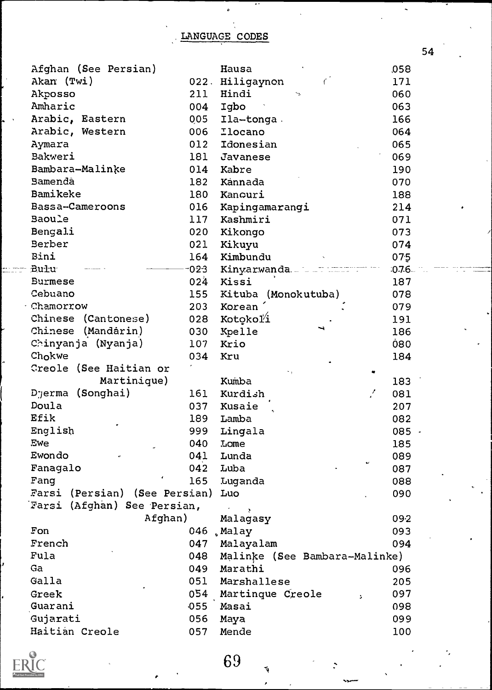54

| Afghan (See Persian)          |      | Hausa                         | ,058     |
|-------------------------------|------|-------------------------------|----------|
| Akan (Twi)                    | 022. | Hiligaynon                    | 171      |
| Akposso                       | 211  | Hindi<br>$^{\sim}$            | 060      |
| Amharic                       | 004  | Igbo                          | 063      |
| Arabic, Eastern               | 005  | Ila-tonga.                    | 166      |
| Arabic, Western               | 006  | <b>Ilocano</b>                | 064      |
| Aymara                        | 012  | Idonesian                     | 065      |
| Bakweri                       | 181  | Javanese                      | 069      |
| Bambara-Malinke               | 014  | Kabre                         | 190      |
| Bamenda                       | 182  | Kannada                       | 070      |
| Bamikeke                      | 180  | Kancuri                       | 188      |
| Bassa-Cameroons               | 016  | Kapingamarangi                | 214      |
| <b>Baoule</b>                 | 117  | Kashmiri                      | 071      |
| <b>Bengali</b>                | 020  | Kikongo                       | 073      |
| Berber                        | 021  | Kikuyu                        | 074      |
| Bini                          | 164  | Kimbundu                      | 075      |
| Bulu                          | 023  | Kinyarwanda.                  | $0.76 -$ |
| <b>Burmese</b>                | 024  | Kissi                         | 187      |
| Cebuano                       | 155  | Kituba (Monokutuba)           | 078      |
| Chamorrow                     | 203  | Korean                        | 079      |
| Chinese (Cantonese)           | 028  | Kotokoľi                      | 191      |
| Chinese (Mandárin)            | 030  | Kpelle                        | 186      |
| Chinyanja (Nyanja)            | 107  | Krio                          | 080      |
| Chokwe                        | 034  | Kru                           | 184      |
| Creole (See Haitian or        |      |                               |          |
| Martinique)                   |      | Kumba                         | 183      |
| (Songhai)<br>Djerma           | 161  | Kurdish<br>!                  | 081      |
| Doula                         | 037  | Kusaie                        | 207      |
| Efik                          | 189  | Lamba                         | 082      |
| English                       | 999  | Lingala                       | 085 -    |
| Ewe                           | 040  | Lome                          | 185      |
| Ewondo                        | 041  | Lunda                         | 089      |
| Fanagalo                      | 042  | Luba                          | 087      |
| Fang                          | 165  | Luganda                       | 880      |
| Farsi (Persian) (See Persian) |      | Luo                           | 090      |
| Farsi (Afghan) See Persian,   |      |                               |          |
| Afghan)                       |      | $\mathbf{y}$<br>Malagasy      | 09-2     |
| Fon                           | 046  | Malay                         | 093      |
| French                        | 047  | Malayalam                     | 094      |
| Fula                          | 048  | Malinke (See Bambara-Malinke) |          |
| Ga                            | 049  | Marathi                       | 096      |
| Galla                         | 051  | Marshallese                   | 205      |
| Greek                         | 054  | Martinque Creole<br>s.        | 097      |
| Guarani                       | 055  | Masai                         | 098      |
| Gujarati                      | 056  | Maya                          | 099      |
| Haitián Creole                | 057  | Mende                         | 100      |
|                               |      |                               |          |

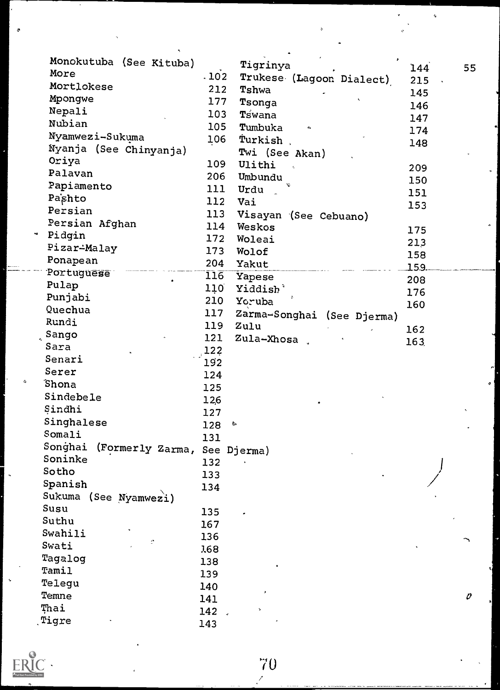| Monokutuba (See Kituba)                 |                  | $\blacktriangleright$<br>Tigrinya | 144  | 55                       |
|-----------------------------------------|------------------|-----------------------------------|------|--------------------------|
| More                                    | .102             | Trukese (Lagoon Dialect)          | 215  |                          |
| Mortlokese                              | 212              | Tshwa                             | 145  |                          |
| Mpongwe                                 | 177              | Tsonga                            | 146  |                          |
| Nepali                                  | 103              | Tswana                            |      |                          |
| Nubian                                  | 105              | Tumbuka<br>$\alpha$               | 147  |                          |
| Nyamwezi-Sukuma                         | 106              | Turkish,                          | 174  |                          |
| Nyanja (See Chinyanja)                  |                  | Twi (See Akan)                    | 148  |                          |
| Oriya                                   | 109              | Ulithi<br>$\sim$ $\sim$           |      |                          |
| Palavan                                 | 206              | Umbundu                           | 209  |                          |
| Papiamento                              | 111              | Urdu                              | 150  |                          |
| Pashto                                  | 112              | Vai                               | 151  |                          |
| Persian                                 | 113              | Visayan (See Cebuano)             | 153  |                          |
| Persian Afghan                          | 114              | Weskos                            |      |                          |
| Pidgin                                  | 172              | Woleai                            | 175  |                          |
| Pizar-Malay                             | 173              | Wolof                             | 213  |                          |
| Ponapean                                | 204              | Yakut                             | 158  |                          |
| Portuguese                              | $\overline{116}$ | Yapese                            | 159. |                          |
| Pulap                                   | 110              | Yiddish <sup>3</sup>              | 208  |                          |
| Punjabi                                 | 210              | Yoruba                            | 176  |                          |
| Quechua                                 | 117              | Zarma-Songhai (See Djerma)        | 160  |                          |
| Rundi                                   | 119              | Zulu                              |      |                          |
| $\frac{1}{2}$ Sango                     | 121              | Zula-Xhosa                        | 162  |                          |
| Sara                                    | 122              |                                   | 163  |                          |
| Senari                                  | 192              |                                   |      |                          |
| Serer                                   | 124              |                                   |      |                          |
| Shona                                   | 125              |                                   |      |                          |
| Sindebele                               | 12,6             |                                   |      |                          |
| Sindhi                                  | 127              |                                   |      |                          |
| Singhalese                              | 128              | $\sigma$                          |      |                          |
| Somali                                  | 131              |                                   |      |                          |
| Songhai<br>(Formerly Zarma, See Djerma) |                  |                                   |      |                          |
| Soninke                                 | 132              |                                   |      |                          |
| Sotho                                   | 133              |                                   |      |                          |
| Spanish                                 | 134              |                                   |      |                          |
| Sukuma (See Nyamwezi)                   |                  |                                   |      |                          |
| Susu                                    | 135              |                                   |      |                          |
| Suthu                                   | 167              |                                   |      |                          |
| Swahili                                 | 136              |                                   |      |                          |
| Swati                                   | 168              |                                   |      |                          |
| Tagalog                                 | 138              |                                   |      |                          |
| Tamil                                   | 139              |                                   |      |                          |
| Telegu                                  | 140              |                                   |      |                          |
| Temne                                   | 141              |                                   |      | $\boldsymbol{\vartheta}$ |
| Thai                                    | 142              |                                   |      |                          |
| Tigre                                   | 143              |                                   |      |                          |
|                                         |                  |                                   |      |                          |

 $ERIC$ 

h

 $\phi$ 

 $\frac{70}{4}$ 

ç.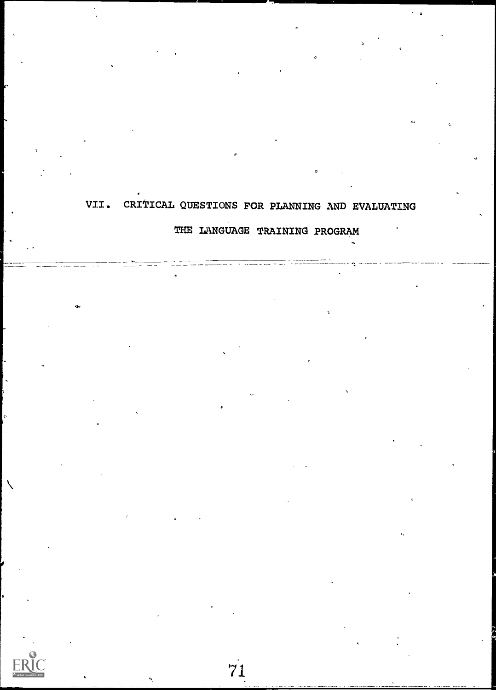## VII. CRITICAL QUESTIONS FOR PLANNING AND EVALUATING THE LANGUAGE TRAINING PROGRAM

.

71

ヽ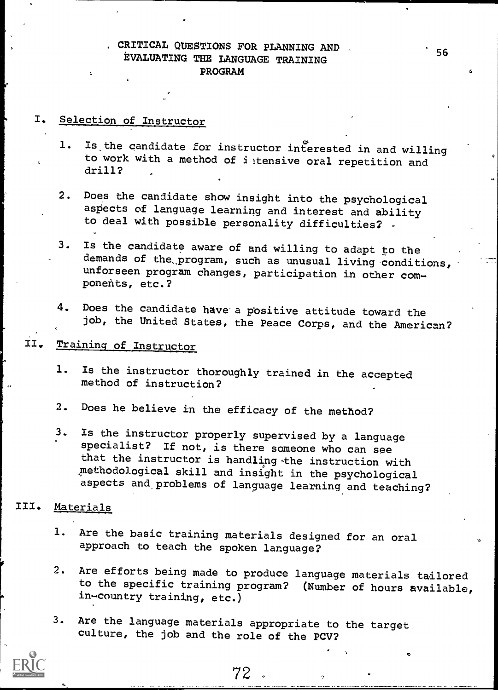## CRITICAL QUESTIONS FOR PLANNING AND EVALUATING THE LANGUAGE TRAINING PROGRAM

## I. Selection of Instructor

- 1. Is the candidate for instructor interested in and willing to work with a method of iltensive oral repetition and drill?
- 2. Does the candidate show insight into the psychological aspects of language learning and interest and ability to deal with possible personality difficulties? -
- 3. Is the candidate aware of and willing to adapt to the demands of the program, such as unusual living conditions, unforseen program changes, participation in other components, etc.?
- 4. Does the candidate have a positive attitude toward the job, the United States, the Peace Corps, and the American?

## II. Training of Instructor

- 1. Is the instructor thoroughly trained in the accepted method of instruction?
- 2. Does he believe in the efficacy of the method?
- 3. Is the instructor properly supervised by a language specialist? If not, is there someone who can see that the instructor is handling the instruction with methodological skill and insight in the psychological aspects and, problems of language learning and teaching?

## III. Materials

- 1. Are the basic training materials designed for an oral approach to teach the spoken language?
- 2. Are efforts being made to produce language materials tailored to the specific training program? (Number of hours available, in-country training, etc.)
- 3. Are the language materials appropriate to the target culture, the job and the role of the PCV?

56

**C.**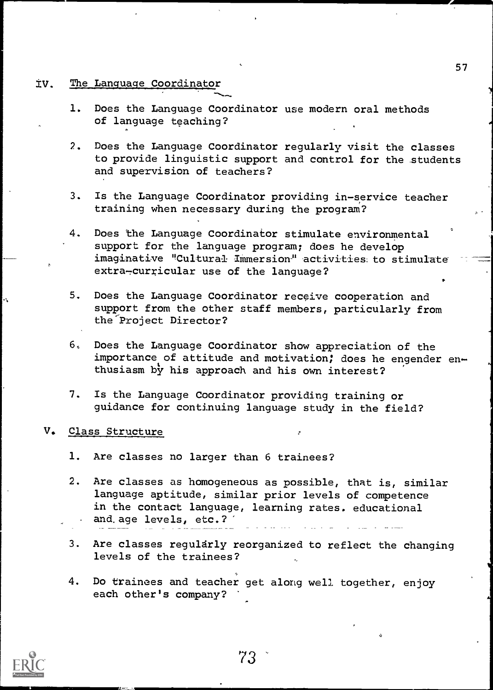#### IV. The Language Coordinator

- 1. Does the Language Coordinator use modern oral methods of language teaching?
- 2. Does the Language Coordinator regularly visit the classes to provide linguistic support and control for the students and supervision of teachers?
- 3. Is the Language Coordinator providing in-service teacher training when necessary during the program?
- 4. Does the Language Coordinator stimulate environmental support for the language program; does he develop imaginative "Cultural Immersion" activities to stimulate extra-curricular use of the language?
- 5. Does the Language Coordinator receive cooperation and support from the other staff members, particularly from the Project Director?
- 6. Does the Language Coordinator show appreciation of the importance of attitude and motivation; does he engender enthusiasm by his approach and his own interest?
- 7. Is the Language Coordinator providing training or guidance for continuing language study in the field?

#### V. Class Structure

- 1. Are classes no larger than 6 trainees?
- 2. Are classes as homogeneous as possible, that is, similar language aptitude, similar prior levels of competence in the contact language, learning rates. educational and. age levels, etc.?
- 3. Are classes regularly reorganized to reflect the changing levels of the trainees?
- 4. Do trainees and teacher get along well together, enjoy each other's company?

ry

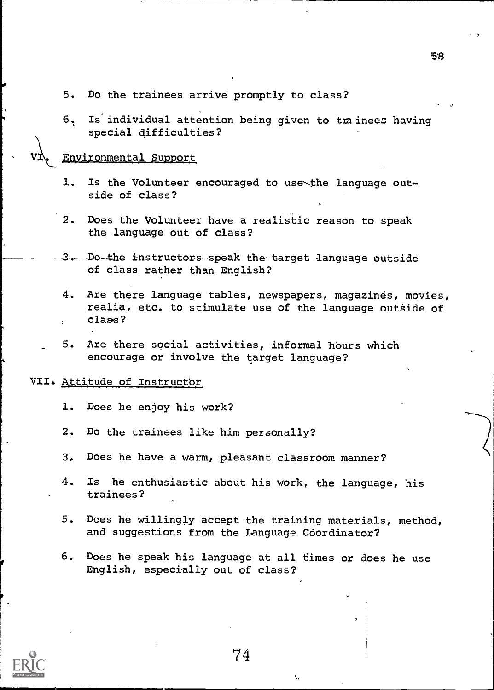- 5. Do the trainees arrive promptly to class?
- 6. Is individual attention being given to trainees having special difficulties?

#### Environmental Support

- 1. Is the Volunteer encouraged to use the language outside of class?
- 2. Does the Volunteer have a realistic reason to speak the language out of class?
- -3. Do-the instructors speak the target language outside of class rather than English?
	- 4. Are there language tables, newspapers, magazines, movies, realia, etc. to stimulate use of the language outside of class?
- 5. Are there social activities, informal hburs which encourage or involve the target language?

#### VII. Attitude of Instructor

- 1. Does he enjoy his work?
- 2. Do the trainees like him personally?
- 3. Does he have a warm, pleasant classroom manner?
- 4. Is he enthusiastic about his work, the language, his trainees?
- 5. Does he willingly accept the training materials, method, and suggestions from the Language Coordinator?
- 6. Does he speak his language at all times or does he use English, especially out of class?



74

БЯ.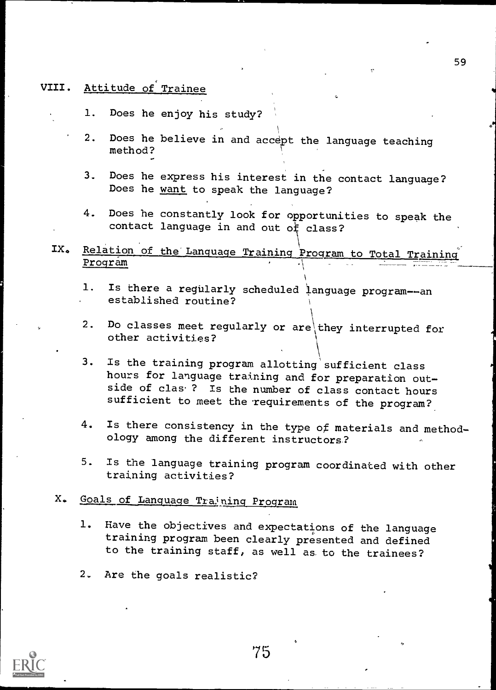## VIII. Attitude of Trainee

- 1. Does he enjoy his study?
- 2. Does he believe in and accept the language teaching method?
- 3. Does he express his interest in the contact language? Does he want to speak the language?
- 4. Does he constantly look for opportunities to speak the contact language in and out  $of$  class?
- IX. Relation of the Language Training Program to Total Training Program
	- 1. Is there a regularly scheduled language program--an established routine?
	- 2. Do classes meet regularly or are they interrupted for other activities?
	- 3. Is the training program allotting sufficient class hours for language training and for preparation outside of clas<sup>.</sup>? Is the number of class contact hours sufficient to meet the requirements of the program?
	- 4. Is there consistency in the type of materials and methodology among the different instructors?
	- 5. Is the language training program coordinated with other training activities?

## X. Goals of Language Training Program

- 1. Have the objectives and expectations of the language training program been clearly presented and defined to the training staff, as well as to the trainees?
- 2. Are the goals realistic?